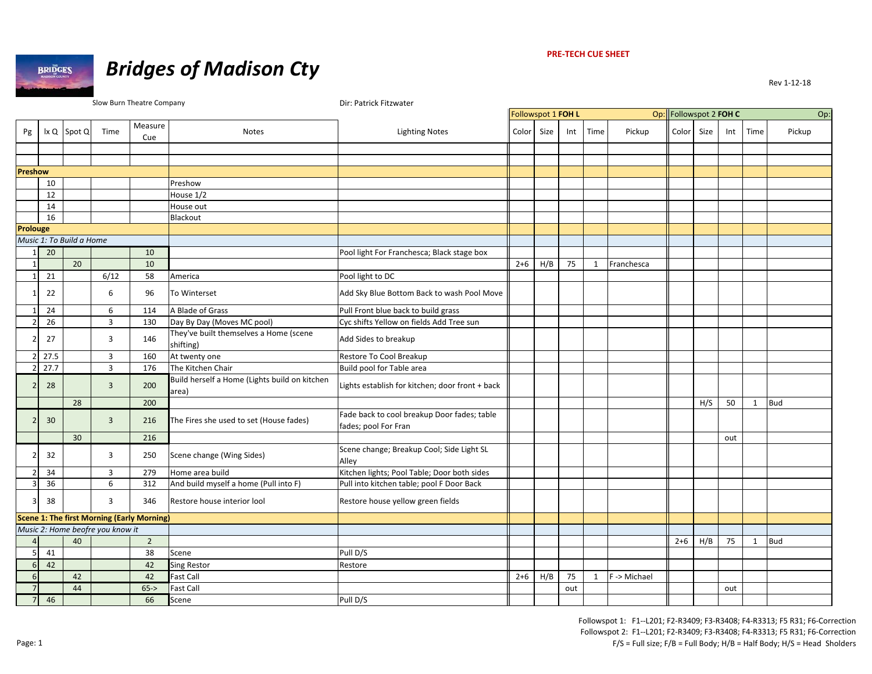

#### **PRE‐TECH CUE SHEET**

|                         |      |                          |                                  | Slow Burn Theatre Company                         |                                                        | Dir: Patrick Fitzwater                                              |         |                    |     |              |              |                        |      |     |              |            |
|-------------------------|------|--------------------------|----------------------------------|---------------------------------------------------|--------------------------------------------------------|---------------------------------------------------------------------|---------|--------------------|-----|--------------|--------------|------------------------|------|-----|--------------|------------|
|                         |      |                          |                                  |                                                   |                                                        |                                                                     |         | Followspot 1 FOH L |     |              |              | Op: Followspot 2 FOH C |      |     |              | Op:        |
| Pg                      |      | $ x Q $ Spot Q           | Time                             | Measure<br>Cue                                    | Notes                                                  | <b>Lighting Notes</b>                                               | Color   | Size               | Int | Time         | Pickup       | Color                  | Size | Int | Time         | Pickup     |
|                         |      |                          |                                  |                                                   |                                                        |                                                                     |         |                    |     |              |              |                        |      |     |              |            |
|                         |      |                          |                                  |                                                   |                                                        |                                                                     |         |                    |     |              |              |                        |      |     |              |            |
| <b>Preshow</b>          |      |                          |                                  |                                                   |                                                        |                                                                     |         |                    |     |              |              |                        |      |     |              |            |
|                         | 10   |                          |                                  |                                                   | Preshow                                                |                                                                     |         |                    |     |              |              |                        |      |     |              |            |
|                         | 12   |                          |                                  |                                                   | House 1/2                                              |                                                                     |         |                    |     |              |              |                        |      |     |              |            |
|                         | 14   |                          |                                  |                                                   | House out                                              |                                                                     |         |                    |     |              |              |                        |      |     |              |            |
|                         | 16   |                          |                                  |                                                   | Blackout                                               |                                                                     |         |                    |     |              |              |                        |      |     |              |            |
| Prolouge                |      |                          |                                  |                                                   |                                                        |                                                                     |         |                    |     |              |              |                        |      |     |              |            |
|                         |      | Music 1: To Build a Home |                                  |                                                   |                                                        |                                                                     |         |                    |     |              |              |                        |      |     |              |            |
| 11                      | 20   |                          |                                  | 10                                                |                                                        | Pool light For Franchesca; Black stage box                          |         |                    |     |              |              |                        |      |     |              |            |
|                         |      | 20                       |                                  | 10                                                |                                                        |                                                                     | $2 + 6$ | H/B                | 75  | $\mathbf{1}$ | Franchesca   |                        |      |     |              |            |
| 1                       | 21   |                          | 6/12                             | 58                                                | America                                                | Pool light to DC                                                    |         |                    |     |              |              |                        |      |     |              |            |
|                         | 22   |                          | 6                                | 96                                                | To Winterset                                           | Add Sky Blue Bottom Back to wash Pool Move                          |         |                    |     |              |              |                        |      |     |              |            |
| 1 <sup>1</sup>          | 24   |                          | 6                                | 114                                               | A Blade of Grass                                       | Pull Front blue back to build grass                                 |         |                    |     |              |              |                        |      |     |              |            |
| $\mathcal{P}$           | 26   |                          | $\overline{3}$                   | 130                                               | Day By Day (Moves MC pool)                             | Cyc shifts Yellow on fields Add Tree sun                            |         |                    |     |              |              |                        |      |     |              |            |
|                         | 27   |                          | 3                                | 146                                               | They've built themselves a Home (scene<br>shifting)    | Add Sides to breakup                                                |         |                    |     |              |              |                        |      |     |              |            |
|                         | 27.5 |                          | 3                                | 160                                               | At twenty one                                          | Restore To Cool Breakup                                             |         |                    |     |              |              |                        |      |     |              |            |
|                         | 27.7 |                          | $\overline{3}$                   | 176                                               | The Kitchen Chair                                      | Build pool for Table area                                           |         |                    |     |              |              |                        |      |     |              |            |
| $\mathcal{P}$           | 28   |                          | $\overline{3}$                   | 200                                               | Build herself a Home (Lights build on kitchen<br>area) | Lights establish for kitchen; door front + back                     |         |                    |     |              |              |                        |      |     |              |            |
|                         |      | 28                       |                                  | 200                                               |                                                        |                                                                     |         |                    |     |              |              |                        | H/S  | 50  | $\mathbf{1}$ | <b>Bud</b> |
| $\overline{2}$          | 30   |                          | $\overline{3}$                   | 216                                               | The Fires she used to set (House fades)                | Fade back to cool breakup Door fades; table<br>fades; pool For Fran |         |                    |     |              |              |                        |      |     |              |            |
|                         |      | 30 <sup>°</sup>          |                                  | 216                                               |                                                        |                                                                     |         |                    |     |              |              |                        |      | out |              |            |
| 2                       | 32   |                          | 3                                | 250                                               | Scene change (Wing Sides)                              | Scene change; Breakup Cool; Side Light SL<br>Alley                  |         |                    |     |              |              |                        |      |     |              |            |
| 2 <sup>1</sup>          | 34   |                          | $\overline{3}$                   | 279                                               | Home area build                                        | Kitchen lights; Pool Table; Door both sides                         |         |                    |     |              |              |                        |      |     |              |            |
| $\overline{3}$          | 36   |                          | 6                                | 312                                               | And build myself a home (Pull into F)                  | Pull into kitchen table; pool F Door Back                           |         |                    |     |              |              |                        |      |     |              |            |
| $\overline{\mathbf{3}}$ | 38   |                          | 3                                | 346                                               | Restore house interior lool                            | Restore house yellow green fields                                   |         |                    |     |              |              |                        |      |     |              |            |
|                         |      |                          |                                  | <b>Scene 1: The first Morning (Early Morning)</b> |                                                        |                                                                     |         |                    |     |              |              |                        |      |     |              |            |
|                         |      |                          | Music 2: Home beofre you know it |                                                   |                                                        |                                                                     |         |                    |     |              |              |                        |      |     |              |            |
| $\overline{4}$          |      | 40                       |                                  | $\overline{2}$                                    |                                                        |                                                                     |         |                    |     |              |              | $2+6$                  | H/B  | 75  | 1            | <b>Bud</b> |
| 5 <sup>1</sup>          | 41   |                          |                                  | 38                                                | Scene                                                  | Pull D/S                                                            |         |                    |     |              |              |                        |      |     |              |            |
| 6                       | 42   |                          |                                  | 42                                                | <b>Sing Restor</b>                                     | Restore                                                             |         |                    |     |              |              |                        |      |     |              |            |
| $6 \overline{6}$        |      | 42                       |                                  | 42                                                | <b>Fast Call</b>                                       |                                                                     | $2+6$   | H/B                | 75  | $\mathbf{1}$ | F -> Michael |                        |      |     |              |            |
| $\overline{7}$          |      | 44                       |                                  | $65 - >$                                          | <b>Fast Call</b>                                       |                                                                     |         |                    | out |              |              |                        |      | out |              |            |
| 7                       | 46   |                          |                                  | 66                                                | Scene                                                  | Pull D/S                                                            |         |                    |     |              |              |                        |      |     |              |            |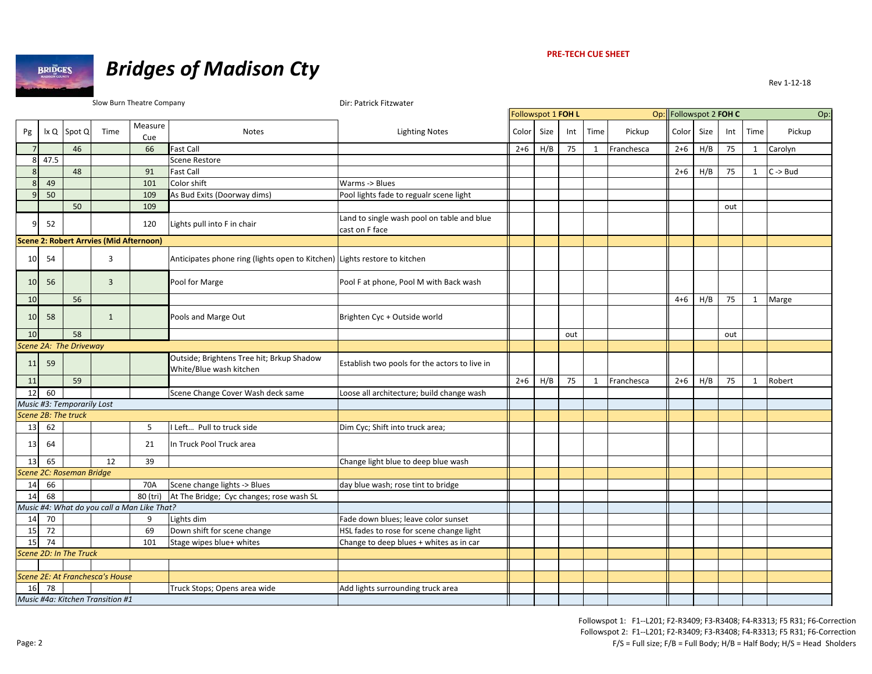

# *Bridges of Madison Cty*

|                 |      |                            |                                                | Slow Burn Theatre Company                   |                                                                           | Dir: Patrick Fitzwater                                       |       |                    |     |              |            |                        |      |     |              |                     |
|-----------------|------|----------------------------|------------------------------------------------|---------------------------------------------|---------------------------------------------------------------------------|--------------------------------------------------------------|-------|--------------------|-----|--------------|------------|------------------------|------|-----|--------------|---------------------|
|                 |      |                            |                                                |                                             |                                                                           |                                                              |       | Followspot 1 FOH L |     |              |            | Op: Followspot 2 FOH C |      |     |              | Op:                 |
| Pg              | lx Q | Spot Q                     | Time                                           | Measure                                     | <b>Notes</b>                                                              | <b>Lighting Notes</b>                                        | Color | Size               | Int | Time         | Pickup     | Color                  | Size | Int | Time         | Pickup              |
|                 |      |                            |                                                | Cue                                         |                                                                           |                                                              |       |                    |     |              |            |                        |      |     |              |                     |
| $\overline{7}$  |      | 46                         |                                                | 66                                          | <b>Fast Call</b>                                                          |                                                              | $2+6$ | H/B                | 75  | $\mathbf{1}$ | Franchesca | $2 + 6$                | H/B  | 75  | $\mathbf 1$  | Carolyn             |
| 8               | 47.5 |                            |                                                |                                             | Scene Restore                                                             |                                                              |       |                    |     |              |            |                        |      |     |              |                     |
| 8               |      | 48                         |                                                | 91                                          | <b>Fast Call</b>                                                          |                                                              |       |                    |     |              |            | $2+6$                  | H/B  | 75  | 1            | $C \rightarrow Bud$ |
| $\bf 8$         | 49   |                            |                                                | 101                                         | Color shift                                                               | Warms -> Blues                                               |       |                    |     |              |            |                        |      |     |              |                     |
| $\overline{9}$  | 50   |                            |                                                | 109                                         | As Bud Exits (Doorway dims)                                               | Pool lights fade to regualr scene light                      |       |                    |     |              |            |                        |      |     |              |                     |
|                 |      | 50                         |                                                | 109                                         |                                                                           |                                                              |       |                    |     |              |            |                        |      | out |              |                     |
| 9               | 52   |                            |                                                | 120                                         | Lights pull into F in chair                                               | Land to single wash pool on table and blue<br>cast on F face |       |                    |     |              |            |                        |      |     |              |                     |
|                 |      |                            | <b>Scene 2: Robert Arrvies (Mid Afternoon)</b> |                                             |                                                                           |                                                              |       |                    |     |              |            |                        |      |     |              |                     |
| 10              | 54   |                            | 3                                              |                                             | Anticipates phone ring (lights open to Kitchen) Lights restore to kitchen |                                                              |       |                    |     |              |            |                        |      |     |              |                     |
| 10              | 56   |                            | $\overline{3}$                                 |                                             | Pool for Marge                                                            | Pool F at phone, Pool M with Back wash                       |       |                    |     |              |            |                        |      |     |              |                     |
| 10              |      | 56                         |                                                |                                             |                                                                           |                                                              |       |                    |     |              |            | $4 + 6$                | H/B  | 75  | $\mathbf{1}$ | Marge               |
|                 |      |                            |                                                |                                             |                                                                           |                                                              |       |                    |     |              |            |                        |      |     |              |                     |
| 10              | 58   |                            | $\mathbf{1}$                                   |                                             | Pools and Marge Out                                                       | Brighten Cyc + Outside world                                 |       |                    |     |              |            |                        |      |     |              |                     |
| 10              |      | 58                         |                                                |                                             |                                                                           |                                                              |       |                    | out |              |            |                        |      | out |              |                     |
|                 |      | Scene 2A: The Driveway     |                                                |                                             |                                                                           |                                                              |       |                    |     |              |            |                        |      |     |              |                     |
| 11              | 59   |                            |                                                |                                             | Outside; Brightens Tree hit; Brkup Shadow<br>White/Blue wash kitchen      | Establish two pools for the actors to live in                |       |                    |     |              |            |                        |      |     |              |                     |
| 11              |      | 59                         |                                                |                                             |                                                                           |                                                              | $2+6$ | H/B                | 75  | 1            | Franchesca | $2+6$                  | H/B  | 75  | 1            | Robert              |
| 12              | 60   |                            |                                                |                                             | Scene Change Cover Wash deck same                                         | Loose all architecture; build change wash                    |       |                    |     |              |            |                        |      |     |              |                     |
|                 |      | Music #3: Temporarily Lost |                                                |                                             |                                                                           |                                                              |       |                    |     |              |            |                        |      |     |              |                     |
|                 |      | Scene 2B: The truck        |                                                |                                             |                                                                           |                                                              |       |                    |     |              |            |                        |      |     |              |                     |
| 13              | 62   |                            |                                                | 5                                           | Left Pull to truck side                                                   | Dim Cyc; Shift into truck area;                              |       |                    |     |              |            |                        |      |     |              |                     |
| 13              | 64   |                            |                                                | 21                                          | In Truck Pool Truck area                                                  |                                                              |       |                    |     |              |            |                        |      |     |              |                     |
| 13              | 65   |                            | 12                                             | 39                                          |                                                                           | Change light blue to deep blue wash                          |       |                    |     |              |            |                        |      |     |              |                     |
|                 |      | Scene 2C: Roseman Bridge   |                                                |                                             |                                                                           |                                                              |       |                    |     |              |            |                        |      |     |              |                     |
| 14              | 66   |                            |                                                | 70A                                         | Scene change lights -> Blues                                              | day blue wash; rose tint to bridge                           |       |                    |     |              |            |                        |      |     |              |                     |
| 14              | 68   |                            |                                                | 80 (tri)                                    | At The Bridge; Cyc changes; rose wash SL                                  |                                                              |       |                    |     |              |            |                        |      |     |              |                     |
|                 |      |                            |                                                | Music #4: What do you call a Man Like That? |                                                                           |                                                              |       |                    |     |              |            |                        |      |     |              |                     |
| 14              | 70   |                            |                                                | 9                                           | Lights dim                                                                | Fade down blues; leave color sunset                          |       |                    |     |              |            |                        |      |     |              |                     |
| 15              | 72   |                            |                                                | 69                                          | Down shift for scene change                                               | HSL fades to rose for scene change light                     |       |                    |     |              |            |                        |      |     |              |                     |
| 15 <sup>1</sup> | 74   |                            |                                                | 101                                         | Stage wipes blue+ whites                                                  | Change to deep blues + whites as in car                      |       |                    |     |              |            |                        |      |     |              |                     |
|                 |      | Scene 2D: In The Truck     |                                                |                                             |                                                                           |                                                              |       |                    |     |              |            |                        |      |     |              |                     |
|                 |      |                            |                                                |                                             |                                                                           |                                                              |       |                    |     |              |            |                        |      |     |              |                     |
|                 |      |                            | Scene 2E: At Franchesca's House                |                                             |                                                                           |                                                              |       |                    |     |              |            |                        |      |     |              |                     |
| 16              | 78   |                            |                                                |                                             | Truck Stops; Opens area wide                                              | Add lights surrounding truck area                            |       |                    |     |              |            |                        |      |     |              |                     |
|                 |      |                            | Music #4a: Kitchen Transition #1               |                                             |                                                                           |                                                              |       |                    |     |              |            |                        |      |     |              |                     |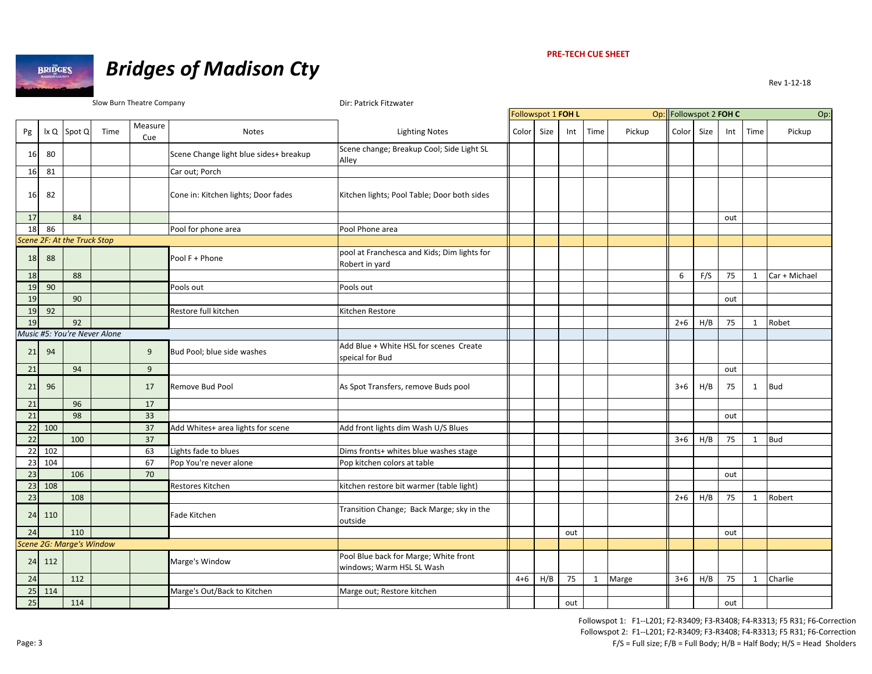

# *Bridges of Madison Cty*

Rev 1‐12‐18

Slow Burn Theatre Company **Dirich Company** Dir: Patrick Fitzwater

|    |      |                              |      |                |                                        |                                                                    | Followspot 1 FOH L |      |     |      |        | Op: Followspot 2 FOH C |      |     |              | Op:           |
|----|------|------------------------------|------|----------------|----------------------------------------|--------------------------------------------------------------------|--------------------|------|-----|------|--------|------------------------|------|-----|--------------|---------------|
| Pg | lx Q | Spot Q                       | Time | Measure<br>Cue | <b>Notes</b>                           | <b>Lighting Notes</b>                                              | Color              | Size | Int | Time | Pickup | Color                  | Size | Int | Time         | Pickup        |
| 16 | 80   |                              |      |                | Scene Change light blue sides+ breakup | Scene change; Breakup Cool; Side Light SL<br>Alley                 |                    |      |     |      |        |                        |      |     |              |               |
| 16 | 81   |                              |      |                | Car out; Porch                         |                                                                    |                    |      |     |      |        |                        |      |     |              |               |
| 16 | 82   |                              |      |                | Cone in: Kitchen lights; Door fades    | Kitchen lights; Pool Table; Door both sides                        |                    |      |     |      |        |                        |      |     |              |               |
| 17 |      | 84                           |      |                |                                        |                                                                    |                    |      |     |      |        |                        |      | out |              |               |
| 18 | 86   |                              |      |                | Pool for phone area                    | Pool Phone area                                                    |                    |      |     |      |        |                        |      |     |              |               |
|    |      | Scene 2F: At the Truck Stop  |      |                |                                        |                                                                    |                    |      |     |      |        |                        |      |     |              |               |
| 18 | 88   |                              |      |                | Pool F + Phone                         | pool at Franchesca and Kids; Dim lights for<br>Robert in yard      |                    |      |     |      |        |                        |      |     |              |               |
| 18 |      | 88                           |      |                |                                        |                                                                    |                    |      |     |      |        | 6                      | F/S  | 75  | $\mathbf{1}$ | Car + Michael |
| 19 | 90   |                              |      |                | Pools out                              | Pools out                                                          |                    |      |     |      |        |                        |      |     |              |               |
| 19 |      | 90                           |      |                |                                        |                                                                    |                    |      |     |      |        |                        |      | out |              |               |
| 19 | 92   |                              |      |                | Restore full kitchen                   | Kitchen Restore                                                    |                    |      |     |      |        |                        |      |     |              |               |
| 19 |      | 92                           |      |                |                                        |                                                                    |                    |      |     |      |        | $2+6$                  | H/B  | 75  | $\mathbf{1}$ | Robet         |
|    |      | Music #5: You're Never Alone |      |                |                                        |                                                                    |                    |      |     |      |        |                        |      |     |              |               |
| 21 | 94   |                              |      | 9              | Bud Pool; blue side washes             | Add Blue + White HSL for scenes Create<br>speical for Bud          |                    |      |     |      |        |                        |      |     |              |               |
| 21 |      | 94                           |      | 9              |                                        |                                                                    |                    |      |     |      |        |                        |      | out |              |               |
| 21 | 96   |                              |      | 17             | Remove Bud Pool                        | As Spot Transfers, remove Buds pool                                |                    |      |     |      |        | $3+6$                  | H/B  | 75  | 1            | <b>Bud</b>    |
| 21 |      | 96                           |      | 17             |                                        |                                                                    |                    |      |     |      |        |                        |      |     |              |               |
| 21 |      | 98                           |      | 33             |                                        |                                                                    |                    |      |     |      |        |                        |      | out |              |               |
| 22 | 100  |                              |      | 37             | Add Whites+ area lights for scene      | Add front lights dim Wash U/S Blues                                |                    |      |     |      |        |                        |      |     |              |               |
| 22 |      | 100                          |      | 37             |                                        |                                                                    |                    |      |     |      |        | $3+6$                  | H/B  | 75  | 1            | <b>Bud</b>    |
| 22 | 102  |                              |      | 63             | Lights fade to blues                   | Dims fronts+ whites blue washes stage                              |                    |      |     |      |        |                        |      |     |              |               |
| 23 | 104  |                              |      | 67             | Pop You're never alone                 | Pop kitchen colors at table                                        |                    |      |     |      |        |                        |      |     |              |               |
| 23 |      | 106                          |      | 70             |                                        |                                                                    |                    |      |     |      |        |                        |      | out |              |               |
| 23 | 108  |                              |      |                | Restores Kitchen                       | kitchen restore bit warmer (table light)                           |                    |      |     |      |        |                        |      |     |              |               |
| 23 |      | 108                          |      |                |                                        |                                                                    |                    |      |     |      |        | $2+6$                  | H/B  | 75  | $\mathbf{1}$ | Robert        |
| 24 | 110  |                              |      |                | Fade Kitchen                           | Transition Change; Back Marge; sky in the<br>outside               |                    |      |     |      |        |                        |      |     |              |               |
| 24 |      | 110                          |      |                |                                        |                                                                    |                    |      | out |      |        |                        |      | out |              |               |
|    |      | Scene 2G: Marge's Window     |      |                |                                        |                                                                    |                    |      |     |      |        |                        |      |     |              |               |
| 24 | 112  |                              |      |                | Marge's Window                         | Pool Blue back for Marge; White front<br>windows; Warm HSL SL Wash |                    |      |     |      |        |                        |      |     |              |               |
| 24 |      | 112                          |      |                |                                        |                                                                    | $4 + 6$            | H/B  | 75  | 1    | Marge  | $3+6$                  | H/B  | 75  | $\mathbf{1}$ | Charlie       |
| 25 | 114  |                              |      |                | Marge's Out/Back to Kitchen            | Marge out; Restore kitchen                                         |                    |      |     |      |        |                        |      |     |              |               |
| 25 |      | 114                          |      |                |                                        |                                                                    |                    |      | out |      |        |                        |      | out |              |               |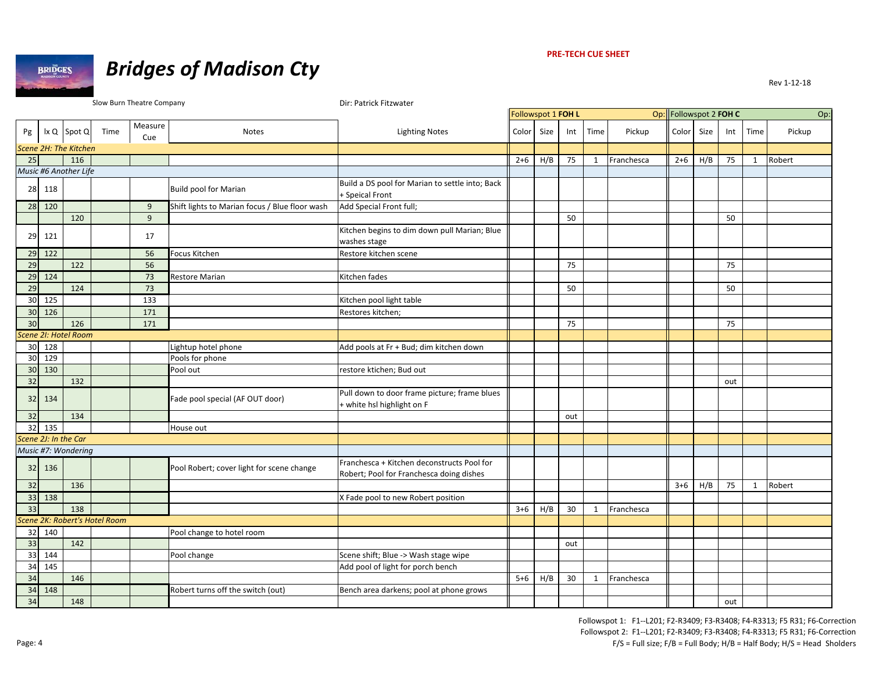

# *Bridges of Madison Cty*

Rev 1‐12‐18

Slow Burn Theatre Company **Direct Example 20** Dir: Patrick Fitzwater

|                 |                 |                               |      |                |                                                |                                                                                        | Followspot 1 FOH L |      |     |              |            | Op: Followspot 2 FOH C |      |     |              | Op:    |
|-----------------|-----------------|-------------------------------|------|----------------|------------------------------------------------|----------------------------------------------------------------------------------------|--------------------|------|-----|--------------|------------|------------------------|------|-----|--------------|--------|
| Pg              |                 | Ix Q Spot Q                   | Time | Measure<br>Cue | Notes                                          | <b>Lighting Notes</b>                                                                  | Color              | Size | Int | Time         | Pickup     | Color                  | Size | Int | Time         | Pickup |
|                 |                 | Scene 2H: The Kitchen         |      |                |                                                |                                                                                        |                    |      |     |              |            |                        |      |     |              |        |
| 25              |                 | 116                           |      |                |                                                |                                                                                        | $2+6$              | H/B  | 75  | $\mathbf{1}$ | Franchesca | $2 + 6$                | H/B  | 75  | $\mathbf{1}$ | Robert |
|                 |                 | Music #6 Another Life         |      |                |                                                |                                                                                        |                    |      |     |              |            |                        |      |     |              |        |
| 28              | 118             |                               |      |                | Build pool for Marian                          | Build a DS pool for Marian to settle into; Back<br>+ Speical Front                     |                    |      |     |              |            |                        |      |     |              |        |
| 28              | 120             |                               |      | 9              | Shift lights to Marian focus / Blue floor wash | Add Special Front full;                                                                |                    |      |     |              |            |                        |      |     |              |        |
|                 |                 | 120                           |      | $\overline{9}$ |                                                |                                                                                        |                    |      | 50  |              |            |                        |      | 50  |              |        |
| 29              | 121             |                               |      | 17             |                                                | Kitchen begins to dim down pull Marian; Blue<br>washes stage                           |                    |      |     |              |            |                        |      |     |              |        |
| 29              | $\frac{122}{2}$ |                               |      | 56             | Focus Kitchen                                  | Restore kitchen scene                                                                  |                    |      |     |              |            |                        |      |     |              |        |
| 29              |                 | 122                           |      | 56             |                                                |                                                                                        |                    |      | 75  |              |            |                        |      | 75  |              |        |
| 29              | 124             |                               |      | 73             | <b>Restore Marian</b>                          | Kitchen fades                                                                          |                    |      |     |              |            |                        |      |     |              |        |
| 29              |                 | 124                           |      | 73             |                                                |                                                                                        |                    |      | 50  |              |            |                        |      | 50  |              |        |
| 30              | 125             |                               |      | 133            |                                                | Kitchen pool light table                                                               |                    |      |     |              |            |                        |      |     |              |        |
| 30              | 126             |                               |      | 171            |                                                | Restores kitchen;                                                                      |                    |      |     |              |            |                        |      |     |              |        |
| 30              |                 | 126                           |      | 171            |                                                |                                                                                        |                    |      | 75  |              |            |                        |      | 75  |              |        |
|                 |                 | Scene 2I: Hotel Room          |      |                |                                                |                                                                                        |                    |      |     |              |            |                        |      |     |              |        |
| 30              | 128             |                               |      |                | Lightup hotel phone                            | Add pools at Fr + Bud; dim kitchen down                                                |                    |      |     |              |            |                        |      |     |              |        |
| 30              | 129             |                               |      |                | Pools for phone                                |                                                                                        |                    |      |     |              |            |                        |      |     |              |        |
| 30              | 130             |                               |      |                | Pool out                                       | restore ktichen; Bud out                                                               |                    |      |     |              |            |                        |      |     |              |        |
| 32              |                 | 132                           |      |                |                                                |                                                                                        |                    |      |     |              |            |                        |      | out |              |        |
| 32              | 134             |                               |      |                | Fade pool special (AF OUT door)                | Pull down to door frame picture; frame blues<br>+ white hsl highlight on F             |                    |      |     |              |            |                        |      |     |              |        |
| 32              |                 | 134                           |      |                |                                                |                                                                                        |                    |      | out |              |            |                        |      |     |              |        |
| 32              | 135             |                               |      |                | House out                                      |                                                                                        |                    |      |     |              |            |                        |      |     |              |        |
|                 |                 | Scene 2J: In the Car          |      |                |                                                |                                                                                        |                    |      |     |              |            |                        |      |     |              |        |
|                 |                 | Music #7: Wondering           |      |                |                                                |                                                                                        |                    |      |     |              |            |                        |      |     |              |        |
| 32              | 136             |                               |      |                | Pool Robert; cover light for scene change      | Franchesca + Kitchen deconstructs Pool for<br>Robert; Pool for Franchesca doing dishes |                    |      |     |              |            |                        |      |     |              |        |
| 32              |                 | 136                           |      |                |                                                |                                                                                        |                    |      |     |              |            | $3 + 6$                | H/B  | 75  | 1            | Robert |
| 33              | 138             |                               |      |                |                                                | X Fade pool to new Robert position                                                     |                    |      |     |              |            |                        |      |     |              |        |
| 33              |                 | 138                           |      |                |                                                |                                                                                        | $3 + 6$            | H/B  | 30  | $\mathbf{1}$ | Franchesca |                        |      |     |              |        |
|                 |                 | Scene 2K: Robert's Hotel Room |      |                |                                                |                                                                                        |                    |      |     |              |            |                        |      |     |              |        |
| 32              | 140             |                               |      |                | Pool change to hotel room                      |                                                                                        |                    |      |     |              |            |                        |      |     |              |        |
| 33              |                 | 142                           |      |                |                                                |                                                                                        |                    |      | out |              |            |                        |      |     |              |        |
| 33              | 144             |                               |      |                | Pool change                                    | Scene shift; Blue -> Wash stage wipe                                                   |                    |      |     |              |            |                        |      |     |              |        |
| 34              | 145             |                               |      |                |                                                | Add pool of light for porch bench                                                      |                    |      |     |              |            |                        |      |     |              |        |
| 34              |                 | 146                           |      |                |                                                |                                                                                        | $5 + 6$            | H/B  | 30  | $\mathbf{1}$ | Franchesca |                        |      |     |              |        |
| 34              | 148             |                               |      |                | Robert turns off the switch (out)              | Bench area darkens; pool at phone grows                                                |                    |      |     |              |            |                        |      |     |              |        |
| $\overline{34}$ |                 | 148                           |      |                |                                                |                                                                                        |                    |      |     |              |            |                        |      | out |              |        |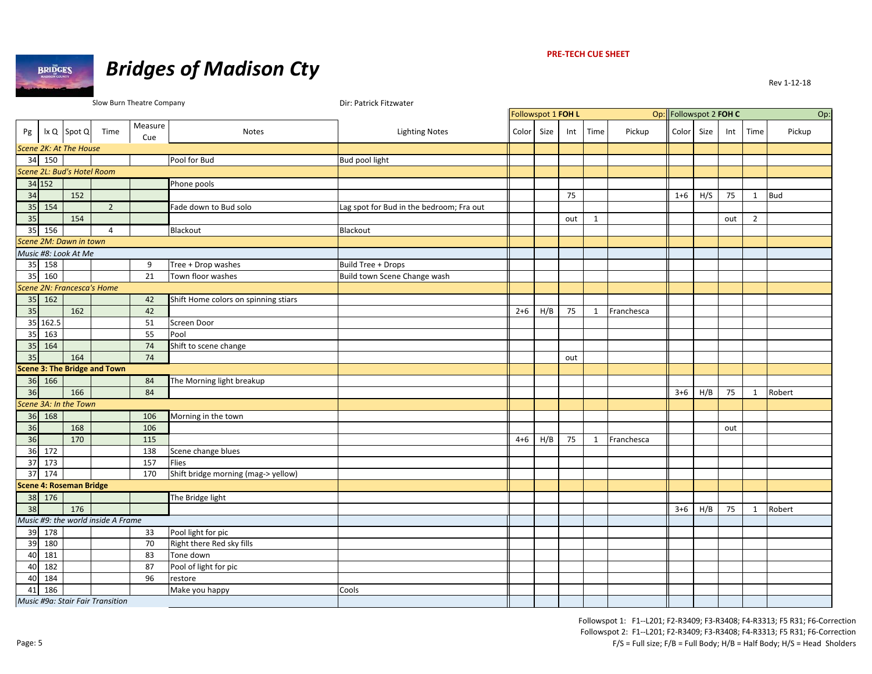

#### **PRE‐TECH CUE SHEET**

|    |            |                                |                                    | Slow Burn Theatre Company |                                      | Dir: Patrick Fitzwater                   |            |                    |     |              |            |                        |      |     |                |            |
|----|------------|--------------------------------|------------------------------------|---------------------------|--------------------------------------|------------------------------------------|------------|--------------------|-----|--------------|------------|------------------------|------|-----|----------------|------------|
|    |            |                                |                                    |                           |                                      |                                          |            | Followspot 1 FOH L |     |              |            | Op: Followspot 2 FOH C |      |     |                | Op:        |
| Pg |            | Ix Q Spot Q                    | Time                               | Measure                   | Notes                                | <b>Lighting Notes</b>                    | Color Size |                    | Int | Time         | Pickup     | Color                  | Size | Int | Time           | Pickup     |
|    |            |                                |                                    | Cue                       |                                      |                                          |            |                    |     |              |            |                        |      |     |                |            |
|    |            | Scene 2K: At The House         |                                    |                           |                                      |                                          |            |                    |     |              |            |                        |      |     |                |            |
| 34 | 150        |                                |                                    |                           | Pool for Bud                         | Bud pool light                           |            |                    |     |              |            |                        |      |     |                |            |
|    |            | Scene 2L: Bud's Hotel Room     |                                    |                           |                                      |                                          |            |                    |     |              |            |                        |      |     |                |            |
|    | 34 152     |                                |                                    |                           | Phone pools                          |                                          |            |                    |     |              |            |                        |      |     |                |            |
| 34 |            | 152                            |                                    |                           |                                      |                                          |            |                    | 75  |              |            | $1 + 6$                | H/S  | 75  | $\mathbf{1}$   | <b>Bud</b> |
| 35 | 154        |                                | $\overline{2}$                     |                           | Fade down to Bud solo                | Lag spot for Bud in the bedroom; Fra out |            |                    |     |              |            |                        |      |     |                |            |
| 35 |            | 154                            |                                    |                           |                                      |                                          |            |                    | out | 1            |            |                        |      | out | $\overline{2}$ |            |
| 35 | 156        |                                | $\overline{4}$                     |                           | Blackout                             | Blackout                                 |            |                    |     |              |            |                        |      |     |                |            |
|    |            | Scene 2M: Dawn in town         |                                    |                           |                                      |                                          |            |                    |     |              |            |                        |      |     |                |            |
|    |            | Music #8: Look At Me           |                                    |                           |                                      |                                          |            |                    |     |              |            |                        |      |     |                |            |
| 35 | 158        |                                |                                    | 9                         | Tree + Drop washes                   | <b>Build Tree + Drops</b>                |            |                    |     |              |            |                        |      |     |                |            |
| 35 | 160        |                                |                                    | 21                        | Town floor washes                    | Build town Scene Change wash             |            |                    |     |              |            |                        |      |     |                |            |
|    |            |                                | Scene 2N: Francesca's Home         |                           |                                      |                                          |            |                    |     |              |            |                        |      |     |                |            |
| 35 | 162        |                                |                                    | 42                        | Shift Home colors on spinning stiars |                                          |            |                    |     |              |            |                        |      |     |                |            |
| 35 |            | 162                            |                                    | 42                        |                                      |                                          | $2+6$      | H/B                | 75  | $\mathbf{1}$ | Franchesca |                        |      |     |                |            |
|    | 35 162.5   |                                |                                    | 51                        | Screen Door                          |                                          |            |                    |     |              |            |                        |      |     |                |            |
| 35 | 163        |                                |                                    | 55                        | Pool                                 |                                          |            |                    |     |              |            |                        |      |     |                |            |
| 35 | 164        |                                |                                    | 74                        | Shift to scene change                |                                          |            |                    |     |              |            |                        |      |     |                |            |
| 35 |            | 164                            |                                    | 74                        |                                      |                                          |            |                    | out |              |            |                        |      |     |                |            |
|    |            |                                | Scene 3: The Bridge and Town       |                           |                                      |                                          |            |                    |     |              |            |                        |      |     |                |            |
|    | $36 \ 166$ |                                |                                    | 84                        | The Morning light breakup            |                                          |            |                    |     |              |            |                        |      |     |                |            |
| 36 |            | 166                            |                                    | 84                        |                                      |                                          |            |                    |     |              |            | $3 + 6$                | H/B  | 75  | $\mathbf{1}$   | Robert     |
|    |            | Scene 3A: In the Town          |                                    |                           |                                      |                                          |            |                    |     |              |            |                        |      |     |                |            |
| 36 | 168        |                                |                                    | 106                       | Morning in the town                  |                                          |            |                    |     |              |            |                        |      |     |                |            |
| 36 |            | 168                            |                                    | 106                       |                                      |                                          |            |                    |     |              |            |                        |      | out |                |            |
| 36 |            | 170                            |                                    | 115                       |                                      |                                          | $4 + 6$    | H/B                | 75  | $\mathbf{1}$ | Franchesca |                        |      |     |                |            |
| 36 | 172        |                                |                                    | 138                       | Scene change blues                   |                                          |            |                    |     |              |            |                        |      |     |                |            |
| 37 | 173        |                                |                                    | 157                       | Flies                                |                                          |            |                    |     |              |            |                        |      |     |                |            |
| 37 | 174        |                                |                                    | 170                       | Shift bridge morning (mag-> yellow)  |                                          |            |                    |     |              |            |                        |      |     |                |            |
|    |            | <b>Scene 4: Roseman Bridge</b> |                                    |                           |                                      |                                          |            |                    |     |              |            |                        |      |     |                |            |
| 38 | 176        |                                |                                    |                           | The Bridge light                     |                                          |            |                    |     |              |            |                        |      |     |                |            |
| 38 |            | 176                            |                                    |                           |                                      |                                          |            |                    |     |              |            | $3+6$                  | H/B  | 75  | $\mathbf{1}$   | Robert     |
|    |            |                                | Music #9: the world inside A Frame |                           |                                      |                                          |            |                    |     |              |            |                        |      |     |                |            |
|    | 39 178     |                                |                                    | 33                        | Pool light for pic                   |                                          |            |                    |     |              |            |                        |      |     |                |            |
| 39 | 180        |                                |                                    | 70                        | Right there Red sky fills            |                                          |            |                    |     |              |            |                        |      |     |                |            |
| 40 | 181        |                                |                                    | 83                        | Tone down                            |                                          |            |                    |     |              |            |                        |      |     |                |            |
| 40 | 182        |                                |                                    | 87                        | Pool of light for pic                |                                          |            |                    |     |              |            |                        |      |     |                |            |
| 40 | 184        |                                |                                    | 96                        | restore                              |                                          |            |                    |     |              |            |                        |      |     |                |            |
| 41 | 186        |                                |                                    |                           | Make you happy                       | Cools                                    |            |                    |     |              |            |                        |      |     |                |            |
|    |            |                                | Music #9a: Stair Fair Transition   |                           |                                      |                                          |            |                    |     |              |            |                        |      |     |                |            |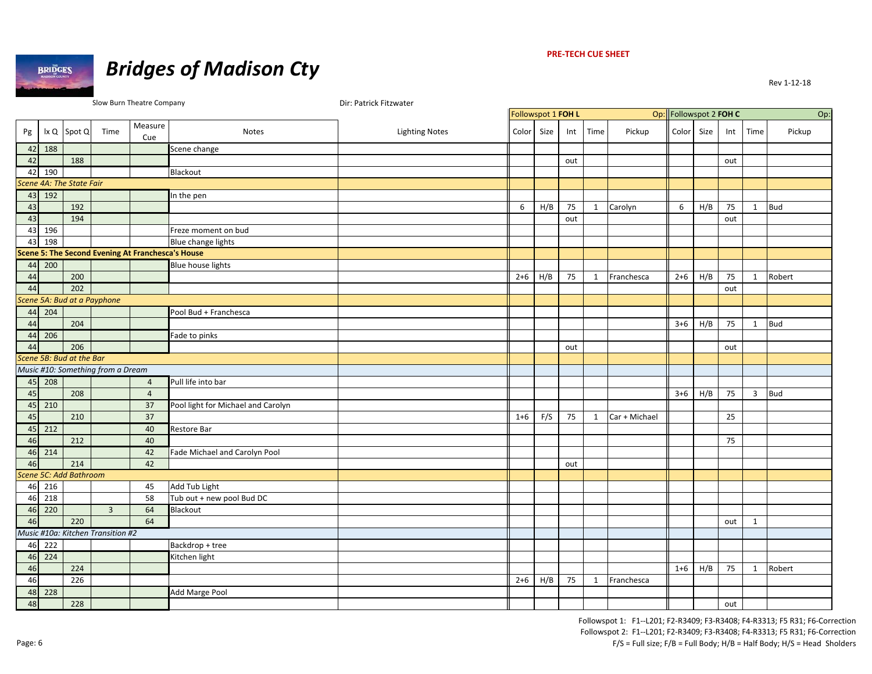

#### **PRE‐TECH CUE SHEET**

|    |                                |                          |                                   | Slow Burn Theatre Company                                |                                    | Dir: Patrick Fitzwater |         |                    |     |              |               |                        |      |     |              |            |
|----|--------------------------------|--------------------------|-----------------------------------|----------------------------------------------------------|------------------------------------|------------------------|---------|--------------------|-----|--------------|---------------|------------------------|------|-----|--------------|------------|
|    |                                |                          |                                   |                                                          |                                    |                        |         | Followspot 1 FOH L |     |              |               | Op: Followspot 2 FOH C |      |     |              | Op:        |
| Pg |                                | Ix Q Spot Q              | Time                              | Measure<br>Cue                                           | Notes                              | <b>Lighting Notes</b>  | Color   | Size               | Int | Time         | Pickup        | Color <sup>1</sup>     | Size | Int | Time         | Pickup     |
|    | 42 188                         |                          |                                   |                                                          | Scene change                       |                        |         |                    |     |              |               |                        |      |     |              |            |
| 42 |                                | 188                      |                                   |                                                          |                                    |                        |         |                    | out |              |               |                        |      | out |              |            |
| 42 | 190                            |                          |                                   |                                                          | Blackout                           |                        |         |                    |     |              |               |                        |      |     |              |            |
|    |                                | Scene 4A: The State Fair |                                   |                                                          |                                    |                        |         |                    |     |              |               |                        |      |     |              |            |
|    | 43 192                         |                          |                                   |                                                          | In the pen                         |                        |         |                    |     |              |               |                        |      |     |              |            |
| 43 |                                | 192                      |                                   |                                                          |                                    |                        | 6       | H/B                | 75  | 1            | Carolyn       | 6                      | H/B  | 75  | $\mathbf{1}$ | <b>Bud</b> |
| 43 |                                | 194                      |                                   |                                                          |                                    |                        |         |                    | out |              |               |                        |      | out |              |            |
| 43 | 196                            |                          |                                   |                                                          | Freze moment on bud                |                        |         |                    |     |              |               |                        |      |     |              |            |
| 43 | 198                            |                          |                                   |                                                          | Blue change lights                 |                        |         |                    |     |              |               |                        |      |     |              |            |
|    |                                |                          |                                   | <b>Scene 5: The Second Evening At Franchesca's House</b> |                                    |                        |         |                    |     |              |               |                        |      |     |              |            |
|    | 44 200                         |                          |                                   |                                                          | <b>Blue house lights</b>           |                        |         |                    |     |              |               |                        |      |     |              |            |
| 44 |                                | 200                      |                                   |                                                          |                                    |                        | $2+6$   | H/B                | 75  | $\mathbf{1}$ | Franchesca    | $2 + 6$                | H/B  | 75  | $\mathbf{1}$ | Robert     |
| 44 |                                | 202                      |                                   |                                                          |                                    |                        |         |                    |     |              |               |                        |      | out |              |            |
|    |                                |                          | Scene 5A: Bud at a Payphone       |                                                          |                                    |                        |         |                    |     |              |               |                        |      |     |              |            |
|    | 44 204                         |                          |                                   |                                                          | Pool Bud + Franchesca              |                        |         |                    |     |              |               |                        |      |     |              |            |
| 44 |                                | 204                      |                                   |                                                          |                                    |                        |         |                    |     |              |               | $3+6$                  | H/B  | 75  | $\mathbf{1}$ | <b>Bud</b> |
|    | 44 206                         |                          |                                   |                                                          | Fade to pinks                      |                        |         |                    |     |              |               |                        |      |     |              |            |
| 44 |                                | 206                      |                                   |                                                          |                                    |                        |         |                    | out |              |               |                        |      | out |              |            |
|    |                                | Scene 5B: Bud at the Bar |                                   |                                                          |                                    |                        |         |                    |     |              |               |                        |      |     |              |            |
|    |                                |                          | Music #10: Something from a Dream |                                                          |                                    |                        |         |                    |     |              |               |                        |      |     |              |            |
|    | 45 208                         |                          |                                   | $\overline{4}$                                           | Pull life into bar                 |                        |         |                    |     |              |               |                        |      |     |              |            |
| 45 |                                | 208                      |                                   | $\overline{4}$                                           |                                    |                        |         |                    |     |              |               | $3+6$                  | H/B  | 75  | 3            | <b>Bud</b> |
|    | 45 210                         |                          |                                   | 37                                                       | Pool light for Michael and Carolyn |                        |         |                    |     |              |               |                        |      |     |              |            |
| 45 |                                | 210                      |                                   | 37                                                       |                                    |                        | $1 + 6$ | F/S                | 75  | 1            | Car + Michael |                        |      | 25  |              |            |
|    | 45 212                         |                          |                                   | 40                                                       | <b>Restore Bar</b>                 |                        |         |                    |     |              |               |                        |      |     |              |            |
| 46 |                                | 212                      |                                   | 40                                                       |                                    |                        |         |                    |     |              |               |                        |      | 75  |              |            |
|    | $46 \overline{\smash{)}214}$   |                          |                                   | 42                                                       | Fade Michael and Carolyn Pool      |                        |         |                    |     |              |               |                        |      |     |              |            |
| 46 |                                | 214                      |                                   | 42                                                       |                                    |                        |         |                    | out |              |               |                        |      |     |              |            |
|    |                                | Scene 5C: Add Bathroom   |                                   |                                                          |                                    |                        |         |                    |     |              |               |                        |      |     |              |            |
|    | 46 216                         |                          |                                   | 45                                                       | Add Tub Light                      |                        |         |                    |     |              |               |                        |      |     |              |            |
|    | 46 218                         |                          |                                   | 58                                                       | Tub out + new pool Bud DC          |                        |         |                    |     |              |               |                        |      |     |              |            |
|    | 46 220                         |                          | $\overline{3}$                    | 64                                                       | Blackout                           |                        |         |                    |     |              |               |                        |      |     |              |            |
| 46 |                                | 220                      |                                   | 64                                                       |                                    |                        |         |                    |     |              |               |                        |      | out | 1            |            |
|    |                                |                          | Music #10a: Kitchen Transition #2 |                                                          |                                    |                        |         |                    |     |              |               |                        |      |     |              |            |
|    | $46 \overline{\smash{)}\ 222}$ |                          |                                   |                                                          | Backdrop + tree                    |                        |         |                    |     |              |               |                        |      |     |              |            |
|    | 46 224                         |                          |                                   |                                                          | Kitchen light                      |                        |         |                    |     |              |               |                        |      |     |              |            |
| 46 |                                | 224                      |                                   |                                                          |                                    |                        |         |                    |     |              |               | $1 + 6$                | H/B  | 75  | 1            | Robert     |
| 46 |                                | 226                      |                                   |                                                          |                                    |                        | $2 + 6$ | H/B                | 75  | $\mathbf{1}$ | Franchesca    |                        |      |     |              |            |
|    | 48 228                         |                          |                                   |                                                          | Add Marge Pool                     |                        |         |                    |     |              |               |                        |      |     |              |            |
| 48 |                                | 228                      |                                   |                                                          |                                    |                        |         |                    |     |              |               |                        |      | out |              |            |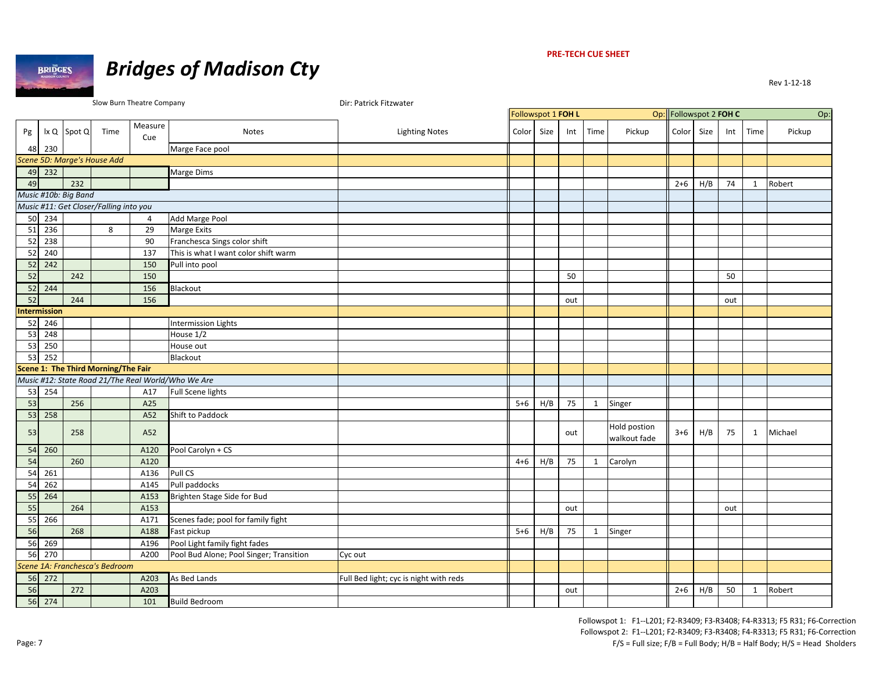



|    |                                    |                      |                                        | Slow Burn Theatre Company |                                                    | Dir: Patrick Fitzwater                 |                    |      |     |              |                              |                        |      |     |      |         |
|----|------------------------------------|----------------------|----------------------------------------|---------------------------|----------------------------------------------------|----------------------------------------|--------------------|------|-----|--------------|------------------------------|------------------------|------|-----|------|---------|
|    |                                    |                      |                                        |                           |                                                    |                                        | Followspot 1 FOH L |      |     |              |                              | Op: Followspot 2 FOH C |      |     |      | Op:     |
| Pg |                                    | $ x Q $ Spot $Q$     | Time                                   | Measure<br>Cue            | Notes                                              | <b>Lighting Notes</b>                  | Color              | Size | Int | Time         | Pickup                       | Color                  | Size | Int | Time | Pickup  |
|    | 48 230                             |                      |                                        |                           | Marge Face pool                                    |                                        |                    |      |     |              |                              |                        |      |     |      |         |
|    |                                    |                      | Scene 5D: Marge's House Add            |                           |                                                    |                                        |                    |      |     |              |                              |                        |      |     |      |         |
|    | 49 232                             |                      |                                        |                           | Marge Dims                                         |                                        |                    |      |     |              |                              |                        |      |     |      |         |
| 49 |                                    | 232                  |                                        |                           |                                                    |                                        |                    |      |     |              |                              | $2+6$                  | H/B  | 74  | 1    | Robert  |
|    |                                    | Music #10b: Big Band |                                        |                           |                                                    |                                        |                    |      |     |              |                              |                        |      |     |      |         |
|    |                                    |                      | Music #11: Get Closer/Falling into you |                           |                                                    |                                        |                    |      |     |              |                              |                        |      |     |      |         |
|    | 50 234                             |                      |                                        | 4                         | Add Marge Pool                                     |                                        |                    |      |     |              |                              |                        |      |     |      |         |
|    | 51 236                             |                      | 8                                      | 29                        | Marge Exits                                        |                                        |                    |      |     |              |                              |                        |      |     |      |         |
|    | 52 238                             |                      |                                        | 90                        | Franchesca Sings color shift                       |                                        |                    |      |     |              |                              |                        |      |     |      |         |
|    | 52 240                             |                      |                                        | 137                       | This is what I want color shift warm               |                                        |                    |      |     |              |                              |                        |      |     |      |         |
|    | $52 \overline{\smash{)}242}$       |                      |                                        | 150                       | Pull into pool                                     |                                        |                    |      |     |              |                              |                        |      |     |      |         |
| 52 |                                    | 242                  |                                        | 150                       |                                                    |                                        |                    |      | 50  |              |                              |                        |      | 50  |      |         |
|    | 52 244                             |                      |                                        | 156                       | Blackout                                           |                                        |                    |      |     |              |                              |                        |      |     |      |         |
| 52 |                                    | 244                  |                                        | 156                       |                                                    |                                        |                    |      | out |              |                              |                        |      | out |      |         |
|    | <b>Intermission</b>                |                      |                                        |                           |                                                    |                                        |                    |      |     |              |                              |                        |      |     |      |         |
|    | 52 246                             |                      |                                        |                           | <b>Intermission Lights</b>                         |                                        |                    |      |     |              |                              |                        |      |     |      |         |
|    | 53 248                             |                      |                                        |                           | House 1/2                                          |                                        |                    |      |     |              |                              |                        |      |     |      |         |
|    | 53 250                             |                      |                                        |                           | House out                                          |                                        |                    |      |     |              |                              |                        |      |     |      |         |
|    | 53 252                             |                      |                                        |                           | Blackout                                           |                                        |                    |      |     |              |                              |                        |      |     |      |         |
|    |                                    |                      | Scene 1: The Third Morning/The Fair    |                           |                                                    |                                        |                    |      |     |              |                              |                        |      |     |      |         |
|    |                                    |                      |                                        |                           | Music #12: State Road 21/The Real World/Who We Are |                                        |                    |      |     |              |                              |                        |      |     |      |         |
|    | 53 254                             |                      |                                        | A17                       | <b>Full Scene lights</b>                           |                                        |                    |      |     |              |                              |                        |      |     |      |         |
| 53 |                                    | 256                  |                                        | A25                       |                                                    |                                        | $5 + 6$            | H/B  | 75  | $\mathbf{1}$ | Singer                       |                        |      |     |      |         |
|    | 53 258                             |                      |                                        | A52                       | Shift to Paddock                                   |                                        |                    |      |     |              |                              |                        |      |     |      |         |
| 53 |                                    | 258                  |                                        | A52                       |                                                    |                                        |                    |      | out |              | Hold postion<br>walkout fade | $3+6$                  | H/B  | 75  | 1    | Michael |
|    | 54 260                             |                      |                                        | A120                      | Pool Carolyn + CS                                  |                                        |                    |      |     |              |                              |                        |      |     |      |         |
| 54 |                                    | 260                  |                                        | A120                      |                                                    |                                        | $4 + 6$            | H/B  | 75  | $\mathbf{1}$ | Carolyn                      |                        |      |     |      |         |
|    | 54 261                             |                      |                                        | A136                      | Pull CS                                            |                                        |                    |      |     |              |                              |                        |      |     |      |         |
|    | 54 262                             |                      |                                        | A145                      | Pull paddocks                                      |                                        |                    |      |     |              |                              |                        |      |     |      |         |
|    | 55 264                             |                      |                                        | A153                      | Brighten Stage Side for Bud                        |                                        |                    |      |     |              |                              |                        |      |     |      |         |
| 55 |                                    | 264                  |                                        | A153                      |                                                    |                                        |                    |      | out |              |                              |                        |      | out |      |         |
|    | 55 266                             |                      |                                        | A171                      | Scenes fade; pool for family fight                 |                                        |                    |      |     |              |                              |                        |      |     |      |         |
| 56 |                                    | 268                  |                                        | A188                      | Fast pickup                                        |                                        | $5 + 6$            | H/B  | 75  | $\mathbf{1}$ | Singer                       |                        |      |     |      |         |
|    | 56 269                             |                      |                                        | A196                      | Pool Light family fight fades                      |                                        |                    |      |     |              |                              |                        |      |     |      |         |
|    | 56 270                             |                      |                                        | A200                      | Pool Bud Alone; Pool Singer; Transition            | Cyc out                                |                    |      |     |              |                              |                        |      |     |      |         |
|    |                                    |                      | Scene 1A: Franchesca's Bedroom         |                           |                                                    |                                        |                    |      |     |              |                              |                        |      |     |      |         |
|    | $56 \overline{\smash{\big)}\ 272}$ |                      |                                        | A203                      | As Bed Lands                                       | Full Bed light; cyc is night with reds |                    |      |     |              |                              |                        |      |     |      |         |
| 56 |                                    | 272                  |                                        | A203                      |                                                    |                                        |                    |      | out |              |                              | $2+6$                  | H/B  | 50  | 1    | Robert  |
|    | 56 274                             |                      |                                        | 101                       | <b>Build Bedroom</b>                               |                                        |                    |      |     |              |                              |                        |      |     |      |         |
|    |                                    |                      |                                        |                           |                                                    |                                        |                    |      |     |              |                              |                        |      |     |      |         |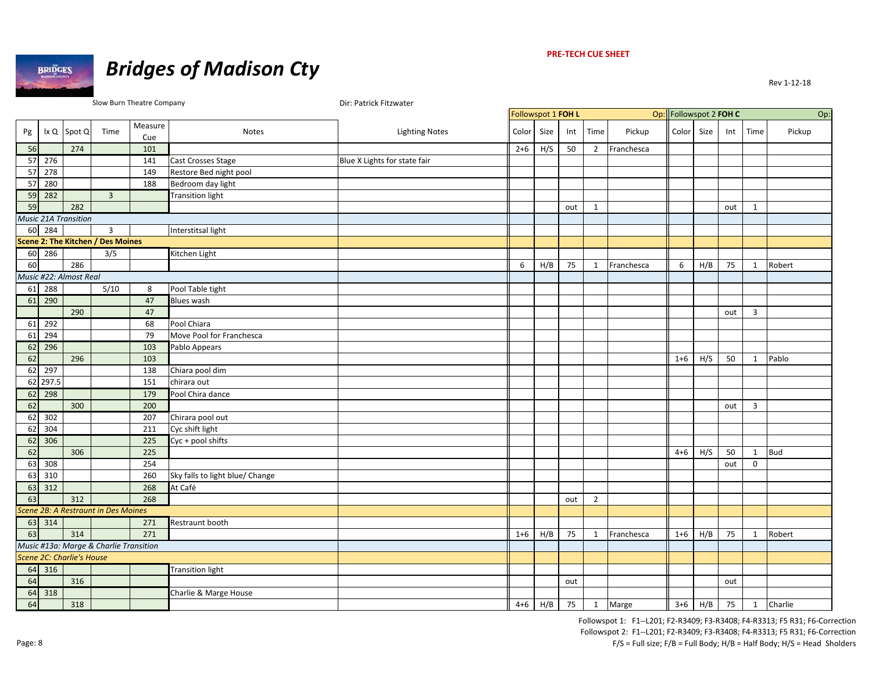

#### **PRE‐TECH CUE SHEET**

|    |                |                             |                                        | Slow Burn Theatre Company |                                 | Dir: Patrick Fitzwater       |         |                    |     |                |              |                        |      |     |              |            |
|----|----------------|-----------------------------|----------------------------------------|---------------------------|---------------------------------|------------------------------|---------|--------------------|-----|----------------|--------------|------------------------|------|-----|--------------|------------|
|    |                |                             |                                        |                           |                                 |                              |         | Followspot 1 FOH L |     |                |              | Op: Followspot 2 FOH C |      |     |              | Op:        |
| Pg |                | Ix Q Spot Q                 | Time                                   | Measure<br>Cue            | Notes                           | <b>Lighting Notes</b>        | Color   | Size               | Int | Time           | Pickup       | Color                  | Size | Int | Time         | Pickup     |
| 56 |                | 274                         |                                        | 101                       |                                 |                              | $2+6$   | H/S                | 50  |                | 2 Franchesca |                        |      |     |              |            |
|    | 57 276         |                             |                                        | 141                       | Cast Crosses Stage              | Blue X Lights for state fair |         |                    |     |                |              |                        |      |     |              |            |
|    | 57 278         |                             |                                        | 149                       | Restore Bed night pool          |                              |         |                    |     |                |              |                        |      |     |              |            |
|    | 57 280         |                             |                                        | 188                       | Bedroom day light               |                              |         |                    |     |                |              |                        |      |     |              |            |
|    | 59 282         |                             | $\overline{3}$                         |                           | <b>Transition light</b>         |                              |         |                    |     |                |              |                        |      |     |              |            |
| 59 |                | 282                         |                                        |                           |                                 |                              |         |                    | out | 1              |              |                        |      | out | $\mathbf{1}$ |            |
|    |                | <b>Music 21A Transition</b> |                                        |                           |                                 |                              |         |                    |     |                |              |                        |      |     |              |            |
|    | 60 284         |                             | $\overline{3}$                         |                           | Interstitsal light              |                              |         |                    |     |                |              |                        |      |     |              |            |
|    |                |                             | Scene 2: The Kitchen / Des Moines      |                           |                                 |                              |         |                    |     |                |              |                        |      |     |              |            |
|    | $60 \quad 286$ |                             | 3/5                                    |                           | Kitchen Light                   |                              |         |                    |     |                |              |                        |      |     |              |            |
| 60 |                | 286                         |                                        |                           |                                 |                              | 6       | H/B                | 75  | 1              | Franchesca   | 6                      | H/B  | 75  | 1            | Robert     |
|    |                | Music #22: Almost Real      |                                        |                           |                                 |                              |         |                    |     |                |              |                        |      |     |              |            |
|    | 61 288         |                             | 5/10                                   | 8                         | Pool Table tight                |                              |         |                    |     |                |              |                        |      |     |              |            |
|    | 61 290         |                             |                                        | 47                        | Blues wash                      |                              |         |                    |     |                |              |                        |      |     |              |            |
|    |                | 290                         |                                        | 47                        |                                 |                              |         |                    |     |                |              |                        |      | out | 3            |            |
|    | 61 292         |                             |                                        | 68                        | Pool Chiara                     |                              |         |                    |     |                |              |                        |      |     |              |            |
| 61 | 294            |                             |                                        | 79                        | Move Pool for Franchesca        |                              |         |                    |     |                |              |                        |      |     |              |            |
|    | 62 296         |                             |                                        | 103                       | Pablo Appears                   |                              |         |                    |     |                |              |                        |      |     |              |            |
| 62 |                | 296                         |                                        | 103                       |                                 |                              |         |                    |     |                |              | $1 + 6$                | H/S  | 50  | 1            | Pablo      |
| 62 | 297            |                             |                                        | 138                       | Chiara pool dim                 |                              |         |                    |     |                |              |                        |      |     |              |            |
|    | 62 297.5       |                             |                                        | 151                       | chirara out                     |                              |         |                    |     |                |              |                        |      |     |              |            |
| 62 | 298            |                             |                                        | 179                       | Pool Chira dance                |                              |         |                    |     |                |              |                        |      |     |              |            |
| 62 |                | 300                         |                                        | 200                       |                                 |                              |         |                    |     |                |              |                        |      | out | 3            |            |
| 62 | 302            |                             |                                        | 207                       | Chirara pool out                |                              |         |                    |     |                |              |                        |      |     |              |            |
| 62 | 304            |                             |                                        | 211                       | Cyc shift light                 |                              |         |                    |     |                |              |                        |      |     |              |            |
|    | 62 306         |                             |                                        | 225                       | Cyc + pool shifts               |                              |         |                    |     |                |              |                        |      |     |              |            |
| 62 |                | 306                         |                                        | 225                       |                                 |                              |         |                    |     |                |              | $4 + 6$                | H/S  | 50  | 1            | <b>Bud</b> |
|    | 63 308         |                             |                                        | 254                       |                                 |                              |         |                    |     |                |              |                        |      | out | $\mathbf 0$  |            |
| 63 | 310            |                             |                                        | 260                       | Sky falls to light blue/ Change |                              |         |                    |     |                |              |                        |      |     |              |            |
|    | 63 312         |                             |                                        | 268                       | At Café                         |                              |         |                    |     |                |              |                        |      |     |              |            |
| 63 |                | 312                         |                                        | 268                       |                                 |                              |         |                    | out | $\overline{2}$ |              |                        |      |     |              |            |
|    |                |                             | Scene 2B: A Restraunt in Des Moines    |                           |                                 |                              |         |                    |     |                |              |                        |      |     |              |            |
|    | 63 314         |                             |                                        | 271                       | Restraunt booth                 |                              |         |                    |     |                |              |                        |      |     |              |            |
| 63 |                | 314                         |                                        | 271                       |                                 |                              | $1 + 6$ | H/B                | 75  | 1              | Franchesca   | $1 + 6$                | H/B  | 75  | $\mathbf{1}$ | Robert     |
|    |                |                             | Music #13a: Marge & Charlie Transition |                           |                                 |                              |         |                    |     |                |              |                        |      |     |              |            |
|    |                | Scene 2C: Charlie's House   |                                        |                           |                                 |                              |         |                    |     |                |              |                        |      |     |              |            |
|    | 64 316         |                             |                                        |                           | <b>Transition light</b>         |                              |         |                    |     |                |              |                        |      |     |              |            |
| 64 |                | 316                         |                                        |                           |                                 |                              |         |                    | out |                |              |                        |      | out |              |            |
|    | 64 318         |                             |                                        |                           | Charlie & Marge House           |                              |         |                    |     |                |              |                        |      |     |              |            |
| 64 |                | 318                         |                                        |                           |                                 |                              |         | $4+6$ H/B          | 75  |                | 1 Marge      | $3+6$ H/B              |      | 75  | 1            | Charlie    |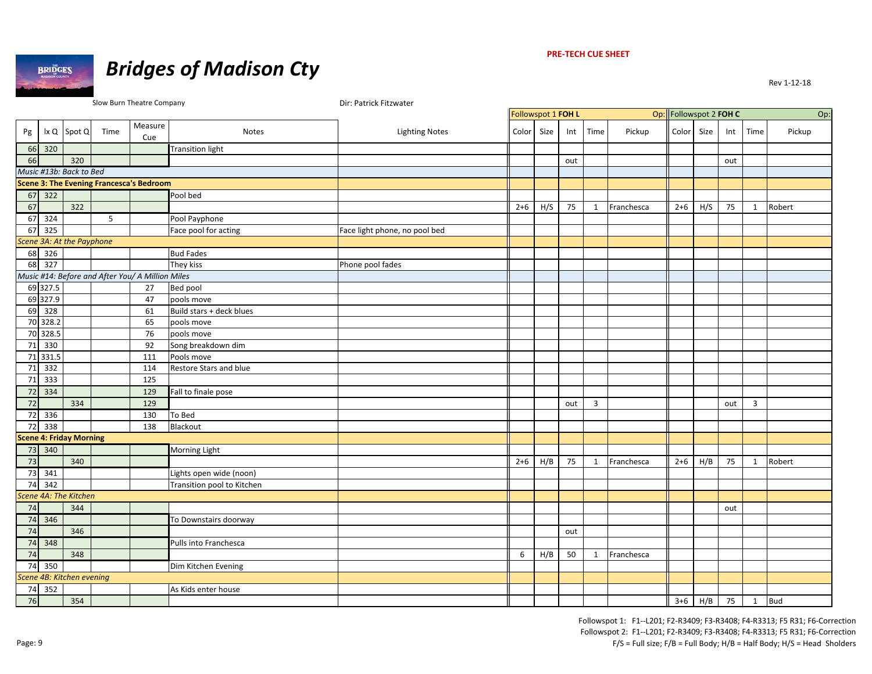

#### **PRE‐TECH CUE SHEET**

|    |                            |                                |      | Slow Burn Theatre Company                        |                            | Dir: Patrick Fitzwater        |         |                    |     |                |            |                        |      |              |              |        |
|----|----------------------------|--------------------------------|------|--------------------------------------------------|----------------------------|-------------------------------|---------|--------------------|-----|----------------|------------|------------------------|------|--------------|--------------|--------|
|    |                            |                                |      |                                                  |                            |                               |         | Followspot 1 FOH L |     |                |            | Op: Followspot 2 FOH C |      |              |              | Op:    |
| Pg |                            | Ix Q Spot Q                    | Time | Measure<br>Cue                                   | <b>Notes</b>               | <b>Lighting Notes</b>         | Color   | Size               | Int | Time           | Pickup     | Color                  | Size | Int          | Time         | Pickup |
|    | 66 320                     |                                |      |                                                  | <b>Transition light</b>    |                               |         |                    |     |                |            |                        |      |              |              |        |
| 66 |                            | 320                            |      |                                                  |                            |                               |         |                    | out |                |            |                        |      | out          |              |        |
|    |                            | Music #13b: Back to Bed        |      |                                                  |                            |                               |         |                    |     |                |            |                        |      |              |              |        |
|    |                            |                                |      | <b>Scene 3: The Evening Francesca's Bedroom</b>  |                            |                               |         |                    |     |                |            |                        |      |              |              |        |
|    | $67 \overline{\smash)322}$ |                                |      |                                                  | Pool bed                   |                               |         |                    |     |                |            |                        |      |              |              |        |
| 67 |                            | 322                            |      |                                                  |                            |                               | $2+6$   | H/S                | 75  | $\mathbf{1}$   | Franchesca | $2+6$                  | H/S  | 75           | $\mathbf{1}$ | Robert |
|    | $67 \overline{)324}$       |                                | 5    |                                                  | Pool Payphone              |                               |         |                    |     |                |            |                        |      |              |              |        |
|    | 67 325                     |                                |      |                                                  | Face pool for acting       | Face light phone, no pool bed |         |                    |     |                |            |                        |      |              |              |        |
|    |                            | Scene 3A: At the Payphone      |      |                                                  |                            |                               |         |                    |     |                |            |                        |      |              |              |        |
|    | 68 326                     |                                |      |                                                  | <b>Bud Fades</b>           |                               |         |                    |     |                |            |                        |      |              |              |        |
|    | 68 327                     |                                |      |                                                  | They kiss                  | Phone pool fades              |         |                    |     |                |            |                        |      |              |              |        |
|    |                            |                                |      | Music #14: Before and After You/ A Million Miles |                            |                               |         |                    |     |                |            |                        |      |              |              |        |
|    | 69 327.5                   |                                |      | 27                                               | Bed pool                   |                               |         |                    |     |                |            |                        |      |              |              |        |
|    | 69 327.9                   |                                |      | 47                                               | pools move                 |                               |         |                    |     |                |            |                        |      |              |              |        |
|    | 69 328                     |                                |      | 61                                               | Build stars + deck blues   |                               |         |                    |     |                |            |                        |      |              |              |        |
|    | 70 328.2                   |                                |      | 65                                               | pools move                 |                               |         |                    |     |                |            |                        |      |              |              |        |
|    | 70 328.5                   |                                |      | 76                                               | pools move                 |                               |         |                    |     |                |            |                        |      |              |              |        |
|    | 71 330                     |                                |      | 92                                               | Song breakdown dim         |                               |         |                    |     |                |            |                        |      |              |              |        |
|    | 71 331.5                   |                                |      | 111                                              | Pools move                 |                               |         |                    |     |                |            |                        |      |              |              |        |
|    | 71 332                     |                                |      | 114                                              | Restore Stars and blue     |                               |         |                    |     |                |            |                        |      |              |              |        |
|    | 71 333                     |                                |      | 125                                              |                            |                               |         |                    |     |                |            |                        |      |              |              |        |
|    | 72 334                     |                                |      | 129                                              | Fall to finale pose        |                               |         |                    |     |                |            |                        |      |              |              |        |
| 72 |                            | 334                            |      | 129                                              |                            |                               |         |                    | out | $\overline{3}$ |            |                        |      | out          | 3            |        |
|    | 72 336                     |                                |      | 130                                              | To Bed                     |                               |         |                    |     |                |            |                        |      |              |              |        |
|    | 72 338                     |                                |      | 138                                              | Blackout                   |                               |         |                    |     |                |            |                        |      |              |              |        |
|    |                            | <b>Scene 4: Friday Morning</b> |      |                                                  |                            |                               |         |                    |     |                |            |                        |      |              |              |        |
|    | 73 340                     |                                |      |                                                  | <b>Morning Light</b>       |                               |         |                    |     |                |            |                        |      |              |              |        |
| 73 |                            | 340                            |      |                                                  |                            |                               | $2 + 6$ | H/B                | 75  | 1              | Franchesca | $2+6$                  | H/B  | 75           | $\mathbf{1}$ | Robert |
|    | 73 341                     |                                |      |                                                  | Lights open wide (noon)    |                               |         |                    |     |                |            |                        |      |              |              |        |
|    | 74 342                     |                                |      |                                                  | Transition pool to Kitchen |                               |         |                    |     |                |            |                        |      |              |              |        |
|    |                            | Scene 4A: The Kitchen          |      |                                                  |                            |                               |         |                    |     |                |            |                        |      |              |              |        |
| 74 |                            | 344                            |      |                                                  |                            |                               |         |                    |     |                |            |                        |      | out          |              |        |
|    | 74 346                     |                                |      |                                                  | To Downstairs doorway      |                               |         |                    |     |                |            |                        |      |              |              |        |
| 74 |                            | 346                            |      |                                                  |                            |                               |         |                    | out |                |            |                        |      |              |              |        |
|    | 74 348                     |                                |      |                                                  | Pulls into Franchesca      |                               |         |                    |     |                |            |                        |      |              |              |        |
| 74 |                            | 348                            |      |                                                  |                            |                               | 6       | H/B                | 50  | $\mathbf{1}$   | Franchesca |                        |      |              |              |        |
|    | 74 350                     |                                |      |                                                  | Dim Kitchen Evening        |                               |         |                    |     |                |            |                        |      |              |              |        |
|    |                            | Scene 4B: Kitchen evening      |      |                                                  |                            |                               |         |                    |     |                |            |                        |      |              |              |        |
| 74 | 352                        |                                |      |                                                  | As Kids enter house        |                               |         |                    |     |                |            |                        |      |              |              |        |
| 76 |                            | 354                            |      |                                                  |                            |                               |         |                    |     |                |            |                        |      | $3+6$ H/B 75 | 1 Bud        |        |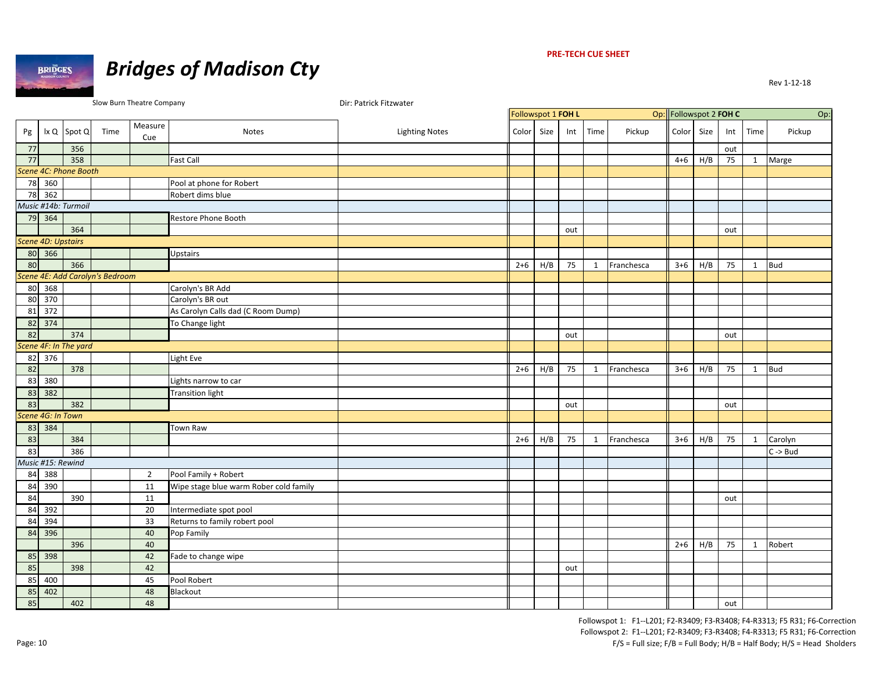**BRIDGES** 

# *Bridges of Madison Cty*

#### **PRE‐TECH CUE SHEET**

|    |                           |                       |                                 | Slow Burn Theatre Company |                                        | Dir: Patrick Fitzwater |         |                    |     |              |            |                        |     |     |              |                     |
|----|---------------------------|-----------------------|---------------------------------|---------------------------|----------------------------------------|------------------------|---------|--------------------|-----|--------------|------------|------------------------|-----|-----|--------------|---------------------|
|    |                           |                       |                                 |                           |                                        |                        |         | Followspot 1 FOH L |     |              |            | Op: Followspot 2 FOH C |     |     |              | Op:                 |
| Pg |                           | $ x Q $ Spot $Q$      | Time                            | Measure<br>Cue            | <b>Notes</b>                           | <b>Lighting Notes</b>  | Color   | Size               | Int | Time         | Pickup     | Color Size             |     | Int | Time         | Pickup              |
| 77 |                           | 356                   |                                 |                           |                                        |                        |         |                    |     |              |            |                        |     | out |              |                     |
| 77 |                           | 358                   |                                 |                           | <b>Fast Call</b>                       |                        |         |                    |     |              |            | $4 + 6$                | H/B | 75  | 1            | Marge               |
|    |                           | Scene 4C: Phone Booth |                                 |                           |                                        |                        |         |                    |     |              |            |                        |     |     |              |                     |
|    | 78 360                    |                       |                                 |                           | Pool at phone for Robert               |                        |         |                    |     |              |            |                        |     |     |              |                     |
|    | 78 362                    |                       |                                 |                           | Robert dims blue                       |                        |         |                    |     |              |            |                        |     |     |              |                     |
|    |                           | Music #14b: Turmoil   |                                 |                           |                                        |                        |         |                    |     |              |            |                        |     |     |              |                     |
|    | 79 364                    |                       |                                 |                           | Restore Phone Booth                    |                        |         |                    |     |              |            |                        |     |     |              |                     |
|    |                           | 364                   |                                 |                           |                                        |                        |         |                    | out |              |            |                        |     | out |              |                     |
|    | <b>Scene 4D: Upstairs</b> |                       |                                 |                           |                                        |                        |         |                    |     |              |            |                        |     |     |              |                     |
|    | 80 366                    |                       |                                 |                           | <b>Upstairs</b>                        |                        |         |                    |     |              |            |                        |     |     |              |                     |
| 80 |                           | 366                   |                                 |                           |                                        |                        | $2 + 6$ | H/B                | 75  | $\mathbf{1}$ | Franchesca | $3+6$                  | H/B | 75  | $\mathbf{1}$ | <b>Bud</b>          |
|    |                           |                       | Scene 4E: Add Carolyn's Bedroom |                           |                                        |                        |         |                    |     |              |            |                        |     |     |              |                     |
|    | 80 368                    |                       |                                 |                           | Carolyn's BR Add                       |                        |         |                    |     |              |            |                        |     |     |              |                     |
|    | 80 370                    |                       |                                 |                           | Carolyn's BR out                       |                        |         |                    |     |              |            |                        |     |     |              |                     |
| 81 | 372                       |                       |                                 |                           | As Carolyn Calls dad (C Room Dump)     |                        |         |                    |     |              |            |                        |     |     |              |                     |
|    | 82 374                    |                       |                                 |                           | To Change light                        |                        |         |                    |     |              |            |                        |     |     |              |                     |
| 82 |                           | 374                   |                                 |                           |                                        |                        |         |                    | out |              |            |                        |     | out |              |                     |
|    |                           | Scene 4F: In The yard |                                 |                           |                                        |                        |         |                    |     |              |            |                        |     |     |              |                     |
|    | 82 376                    |                       |                                 |                           | Light Eve                              |                        |         |                    |     |              |            |                        |     |     |              |                     |
| 82 |                           | 378                   |                                 |                           |                                        |                        | $2+6$   | H/B                | 75  | $\mathbf{1}$ | Franchesca | $3 + 6$                | H/B | 75  | 1            | <b>Bud</b>          |
| 83 | 380                       |                       |                                 |                           | Lights narrow to car                   |                        |         |                    |     |              |            |                        |     |     |              |                     |
| 83 | 382                       |                       |                                 |                           | <b>Transition light</b>                |                        |         |                    |     |              |            |                        |     |     |              |                     |
| 83 |                           | 382                   |                                 |                           |                                        |                        |         |                    | out |              |            |                        |     | out |              |                     |
|    | Scene 4G: In Town         |                       |                                 |                           |                                        |                        |         |                    |     |              |            |                        |     |     |              |                     |
|    | 83 384                    |                       |                                 |                           | Town Raw                               |                        |         |                    |     |              |            |                        |     |     |              |                     |
| 83 |                           | 384                   |                                 |                           |                                        |                        | $2 + 6$ | H/B                | 75  | $\mathbf{1}$ | Franchesca | $3+6$                  | H/B | 75  | 1            | Carolyn             |
| 83 |                           | 386                   |                                 |                           |                                        |                        |         |                    |     |              |            |                        |     |     |              | $C \rightarrow Bud$ |
|    | Music #15: Rewind         |                       |                                 |                           |                                        |                        |         |                    |     |              |            |                        |     |     |              |                     |
|    | 84 388                    |                       |                                 | $\overline{2}$            | Pool Family + Robert                   |                        |         |                    |     |              |            |                        |     |     |              |                     |
|    | 84 390                    |                       |                                 | 11                        | Wipe stage blue warm Rober cold family |                        |         |                    |     |              |            |                        |     |     |              |                     |
| 84 |                           | 390                   |                                 | 11                        |                                        |                        |         |                    |     |              |            |                        |     | out |              |                     |
|    | 84 392                    |                       |                                 | 20                        | Intermediate spot pool                 |                        |         |                    |     |              |            |                        |     |     |              |                     |
| 84 | 394                       |                       |                                 | 33                        | Returns to family robert pool          |                        |         |                    |     |              |            |                        |     |     |              |                     |
|    | 84 396                    |                       |                                 | 40                        | Pop Family                             |                        |         |                    |     |              |            |                        |     |     |              |                     |
|    |                           | 396                   |                                 | 40                        |                                        |                        |         |                    |     |              |            | $2+6$                  | H/B | 75  | 1            | Robert              |
|    | 85 398                    |                       |                                 | 42                        | Fade to change wipe                    |                        |         |                    |     |              |            |                        |     |     |              |                     |
| 85 |                           | 398                   |                                 | 42                        |                                        |                        |         |                    | out |              |            |                        |     |     |              |                     |
| 85 | 400                       |                       |                                 | 45                        | Pool Robert                            |                        |         |                    |     |              |            |                        |     |     |              |                     |
| 85 | 402                       |                       |                                 | 48                        | Blackout                               |                        |         |                    |     |              |            |                        |     |     |              |                     |
| 85 |                           | 402                   |                                 | 48                        |                                        |                        |         |                    |     |              |            |                        |     | out |              |                     |
|    |                           |                       |                                 |                           |                                        |                        |         |                    |     |              |            |                        |     |     |              |                     |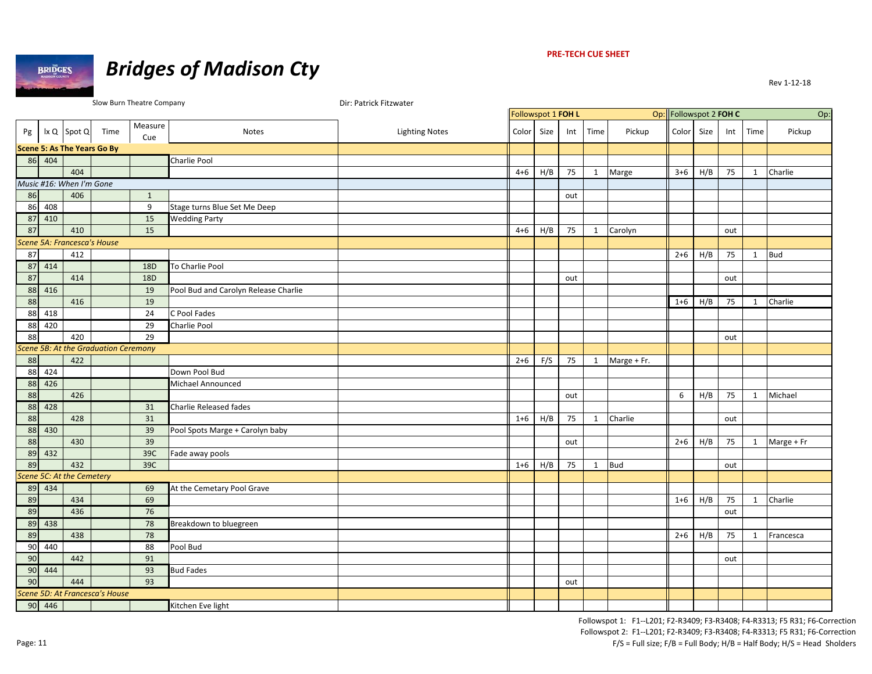

# *Bridges of Madison Cty*

|    |                     |                                    |                                      | Slow Burn Theatre Company |                                      | Dir: Patrick Fitzwater |         |                    |     |              |             |                        |      |     |              |            |
|----|---------------------|------------------------------------|--------------------------------------|---------------------------|--------------------------------------|------------------------|---------|--------------------|-----|--------------|-------------|------------------------|------|-----|--------------|------------|
|    |                     |                                    |                                      |                           |                                      |                        |         | Followspot 1 FOH L |     |              |             | Op: Followspot 2 FOH C |      |     |              | Op         |
| Pg |                     | Ix Q Spot Q                        | Time                                 | Measure<br>Cue            | Notes                                | <b>Lighting Notes</b>  | Color   | Size               | Int | Time         | Pickup      | Color                  | Size | Int | Time         | Pickup     |
|    |                     | <b>Scene 5: As The Years Go By</b> |                                      |                           |                                      |                        |         |                    |     |              |             |                        |      |     |              |            |
|    | 86 404              |                                    |                                      |                           | Charlie Pool                         |                        |         |                    |     |              |             |                        |      |     |              |            |
|    |                     | 404                                |                                      |                           |                                      |                        | $4 + 6$ | H/B                | 75  | $\mathbf{1}$ | Marge       | $3 + 6$                | H/B  | 75  | $\mathbf{1}$ | Charlie    |
|    |                     | Music #16: When I'm Gone           |                                      |                           |                                      |                        |         |                    |     |              |             |                        |      |     |              |            |
| 86 |                     | 406                                |                                      | $\mathbf{1}$              |                                      |                        |         |                    | out |              |             |                        |      |     |              |            |
| 86 | 408                 |                                    |                                      | 9                         | Stage turns Blue Set Me Deep         |                        |         |                    |     |              |             |                        |      |     |              |            |
| 87 | 410                 |                                    |                                      | 15                        | <b>Wedding Party</b>                 |                        |         |                    |     |              |             |                        |      |     |              |            |
| 87 |                     | 410                                |                                      | 15                        |                                      |                        | $4 + 6$ | H/B                | 75  | $\mathbf{1}$ | Carolyn     |                        |      | out |              |            |
|    |                     | Scene 5A: Francesca's House        |                                      |                           |                                      |                        |         |                    |     |              |             |                        |      |     |              |            |
| 87 |                     | 412                                |                                      |                           |                                      |                        |         |                    |     |              |             | $2 + 6$                | H/B  | 75  |              | $1$ Bud    |
|    | 87 414              |                                    |                                      | 18D                       | To Charlie Pool                      |                        |         |                    |     |              |             |                        |      |     |              |            |
| 87 |                     | 414                                |                                      | 18D                       |                                      |                        |         |                    | out |              |             |                        |      | out |              |            |
| 88 | 416                 |                                    |                                      | 19                        | Pool Bud and Carolyn Release Charlie |                        |         |                    |     |              |             |                        |      |     |              |            |
| 88 |                     | 416                                |                                      | 19                        |                                      |                        |         |                    |     |              |             | $1 + 6$                | H/B  | 75  | $\mathbf{1}$ | Charlie    |
| 88 | 418                 |                                    |                                      | 24                        | C Pool Fades                         |                        |         |                    |     |              |             |                        |      |     |              |            |
| 88 | 420                 |                                    |                                      | 29                        | Charlie Pool                         |                        |         |                    |     |              |             |                        |      |     |              |            |
| 88 |                     | 420                                |                                      | 29                        |                                      |                        |         |                    |     |              |             |                        |      | out |              |            |
|    |                     |                                    | Scene 5B: At the Graduation Ceremony |                           |                                      |                        |         |                    |     |              |             |                        |      |     |              |            |
| 88 |                     | 422                                |                                      |                           |                                      |                        | $2+6$   | F/S                | 75  | 1            | Marge + Fr. |                        |      |     |              |            |
|    | 88 424              |                                    |                                      |                           | Down Pool Bud                        |                        |         |                    |     |              |             |                        |      |     |              |            |
| 88 | 426                 |                                    |                                      |                           | Michael Announced                    |                        |         |                    |     |              |             |                        |      |     |              |            |
| 88 |                     | 426                                |                                      |                           |                                      |                        |         |                    | out |              |             | 6                      | H/B  | 75  | $\mathbf{1}$ | Michael    |
| 88 | 428                 |                                    |                                      | 31                        | <b>Charlie Released fades</b>        |                        |         |                    |     |              |             |                        |      |     |              |            |
| 88 |                     | 428                                |                                      | 31                        |                                      |                        | $1 + 6$ | H/B                | 75  | 1            | Charlie     |                        |      | out |              |            |
| 88 | 430                 |                                    |                                      | 39                        | Pool Spots Marge + Carolyn baby      |                        |         |                    |     |              |             |                        |      |     |              |            |
| 88 |                     | 430                                |                                      | 39                        |                                      |                        |         |                    | out |              |             | $2 + 6$                | H/B  | 75  | $\mathbf{1}$ | Marge + Fr |
| 89 | 432                 |                                    |                                      | 39C                       | Fade away pools                      |                        |         |                    |     |              |             |                        |      |     |              |            |
| 89 |                     | 432                                |                                      | 39C                       |                                      |                        | $1 + 6$ | H/B                | 75  | $\mathbf{1}$ | <b>Bud</b>  |                        |      | out |              |            |
|    |                     | Scene 5C: At the Cemetery          |                                      |                           |                                      |                        |         |                    |     |              |             |                        |      |     |              |            |
|    | 89 434              |                                    |                                      | 69                        | At the Cemetary Pool Grave           |                        |         |                    |     |              |             |                        |      |     |              |            |
| 89 |                     | 434                                |                                      | 69                        |                                      |                        |         |                    |     |              |             | $1 + 6$                | H/B  | 75  | $\mathbf{1}$ | Charlie    |
| 89 |                     | 436                                |                                      | 76                        |                                      |                        |         |                    |     |              |             |                        |      | out |              |            |
| 89 | 438                 |                                    |                                      | 78                        | Breakdown to bluegreen               |                        |         |                    |     |              |             |                        |      |     |              |            |
| 89 |                     | 438                                |                                      | 78                        |                                      |                        |         |                    |     |              |             | $2 + 6$                | H/B  | 75  | $\mathbf{1}$ | Francesca  |
| 90 | 440                 |                                    |                                      | 88                        | Pool Bud                             |                        |         |                    |     |              |             |                        |      |     |              |            |
| 90 |                     | 442                                |                                      | 91                        |                                      |                        |         |                    |     |              |             |                        |      | out |              |            |
| 90 | 444                 |                                    |                                      | 93                        | <b>Bud Fades</b>                     |                        |         |                    |     |              |             |                        |      |     |              |            |
| 90 |                     | 444                                |                                      | 93                        |                                      |                        |         |                    | out |              |             |                        |      |     |              |            |
|    |                     |                                    | Scene 5D: At Francesca's House       |                           |                                      |                        |         |                    |     |              |             |                        |      |     |              |            |
|    | $90 \overline{446}$ |                                    |                                      |                           | Kitchen Eve light                    |                        |         |                    |     |              |             |                        |      |     |              |            |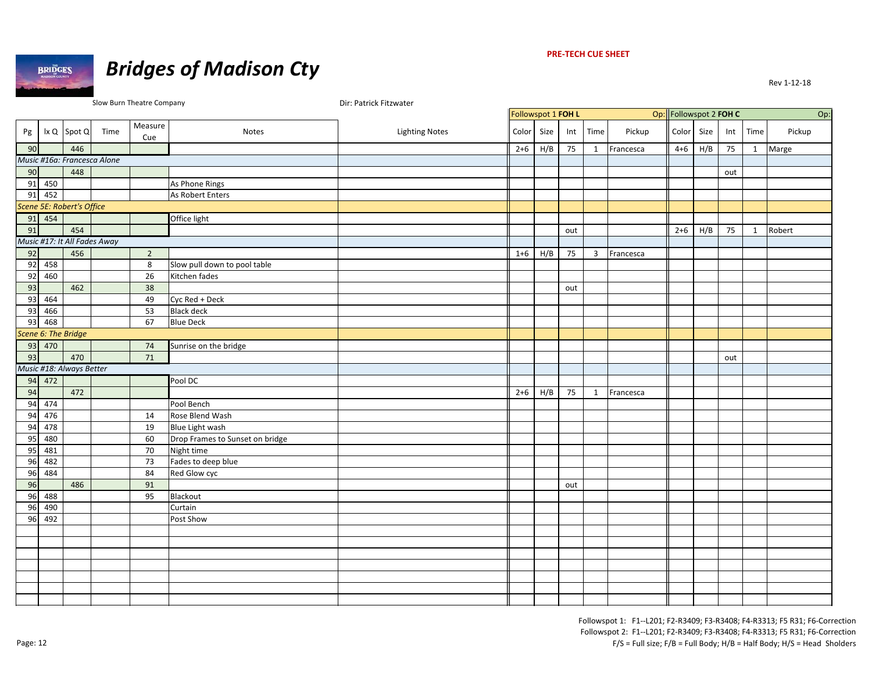

#### **PRE‐TECH CUE SHEET**

|    |          |                              |      | Slow Burn Theatre Company |                                 | Dir: Patrick Fitzwater |                    |      |     |                |           |                        |      |     |              |        |
|----|----------|------------------------------|------|---------------------------|---------------------------------|------------------------|--------------------|------|-----|----------------|-----------|------------------------|------|-----|--------------|--------|
|    |          |                              |      |                           |                                 |                        | Followspot 1 FOH L |      |     |                |           | Op: Followspot 2 FOH C |      |     |              | Op:    |
| Pg |          | $ x Q $ Spot $Q$             | Time | Measure<br>Cue            | Notes                           | <b>Lighting Notes</b>  | Color              | Size | Int | Time           | Pickup    | Color                  | Size | Int | Time         | Pickup |
| 90 |          | 446                          |      |                           |                                 |                        | $2 + 6$            | H/B  | 75  | $\mathbf{1}$   | Francesca | $4 + 6$                | H/B  | 75  | $\mathbf{1}$ | Marge  |
|    |          | Music #16a: Francesca Alone  |      |                           |                                 |                        |                    |      |     |                |           |                        |      |     |              |        |
| 90 |          | 448                          |      |                           |                                 |                        |                    |      |     |                |           |                        |      | out |              |        |
|    | 91 450   |                              |      |                           | As Phone Rings                  |                        |                    |      |     |                |           |                        |      |     |              |        |
| 91 | 452      |                              |      |                           | As Robert Enters                |                        |                    |      |     |                |           |                        |      |     |              |        |
|    |          | Scene 5E: Robert's Office    |      |                           |                                 |                        |                    |      |     |                |           |                        |      |     |              |        |
|    | 91 454   |                              |      |                           | Office light                    |                        |                    |      |     |                |           |                        |      |     |              |        |
| 91 |          | 454                          |      |                           |                                 |                        |                    |      | out |                |           | $2+6$                  | H/B  | 75  | 1            | Robert |
|    |          | Music #17: It All Fades Away |      |                           |                                 |                        |                    |      |     |                |           |                        |      |     |              |        |
| 92 |          | 456                          |      | $\overline{2}$            |                                 |                        | $1 + 6$            | H/B  | 75  | $\overline{3}$ | Francesca |                        |      |     |              |        |
|    | 92 458   |                              |      | 8                         | Slow pull down to pool table    |                        |                    |      |     |                |           |                        |      |     |              |        |
| 92 | 460      |                              |      | 26                        | Kitchen fades                   |                        |                    |      |     |                |           |                        |      |     |              |        |
| 93 |          | 462                          |      | 38                        |                                 |                        |                    |      | out |                |           |                        |      |     |              |        |
| 93 | 464      |                              |      | 49                        | Cyc Red + Deck                  |                        |                    |      |     |                |           |                        |      |     |              |        |
| 93 | 466      |                              |      | 53                        | <b>Black deck</b>               |                        |                    |      |     |                |           |                        |      |     |              |        |
| 93 | 468      |                              |      | 67                        | <b>Blue Deck</b>                |                        |                    |      |     |                |           |                        |      |     |              |        |
|    |          | Scene 6: The Bridge          |      |                           |                                 |                        |                    |      |     |                |           |                        |      |     |              |        |
|    | 93 470   |                              |      | 74                        | Sunrise on the bridge           |                        |                    |      |     |                |           |                        |      |     |              |        |
| 93 |          | 470                          |      | 71                        |                                 |                        |                    |      |     |                |           |                        |      | out |              |        |
|    |          | Music #18: Always Better     |      |                           |                                 |                        |                    |      |     |                |           |                        |      |     |              |        |
|    | $94$ 472 |                              |      |                           | Pool DC                         |                        |                    |      |     |                |           |                        |      |     |              |        |
| 94 |          | 472                          |      |                           |                                 |                        | $2 + 6$            | H/B  | 75  | 1              | Francesca |                        |      |     |              |        |
| 94 | 474      |                              |      |                           | Pool Bench                      |                        |                    |      |     |                |           |                        |      |     |              |        |
|    | 94 476   |                              |      | 14                        | Rose Blend Wash                 |                        |                    |      |     |                |           |                        |      |     |              |        |
| 94 | 478      |                              |      | 19                        | Blue Light wash                 |                        |                    |      |     |                |           |                        |      |     |              |        |
| 95 | 480      |                              |      | 60                        | Drop Frames to Sunset on bridge |                        |                    |      |     |                |           |                        |      |     |              |        |
| 95 | 481      |                              |      | 70                        | Night time                      |                        |                    |      |     |                |           |                        |      |     |              |        |
| 96 | 482      |                              |      | 73                        | Fades to deep blue              |                        |                    |      |     |                |           |                        |      |     |              |        |
| 96 | 484      |                              |      | 84                        | Red Glow cyc                    |                        |                    |      |     |                |           |                        |      |     |              |        |
| 96 |          | 486                          |      | 91                        |                                 |                        |                    |      | out |                |           |                        |      |     |              |        |
| 96 | 488      |                              |      | 95                        | Blackout                        |                        |                    |      |     |                |           |                        |      |     |              |        |
| 96 | 490      |                              |      |                           | Curtain                         |                        |                    |      |     |                |           |                        |      |     |              |        |
| 96 | 492      |                              |      |                           | Post Show                       |                        |                    |      |     |                |           |                        |      |     |              |        |
|    |          |                              |      |                           |                                 |                        |                    |      |     |                |           |                        |      |     |              |        |
|    |          |                              |      |                           |                                 |                        |                    |      |     |                |           |                        |      |     |              |        |
|    |          |                              |      |                           |                                 |                        |                    |      |     |                |           |                        |      |     |              |        |
|    |          |                              |      |                           |                                 |                        |                    |      |     |                |           |                        |      |     |              |        |
|    |          |                              |      |                           |                                 |                        |                    |      |     |                |           |                        |      |     |              |        |
|    |          |                              |      |                           |                                 |                        |                    |      |     |                |           |                        |      |     |              |        |
|    |          |                              |      |                           |                                 |                        |                    |      |     |                |           |                        |      |     |              |        |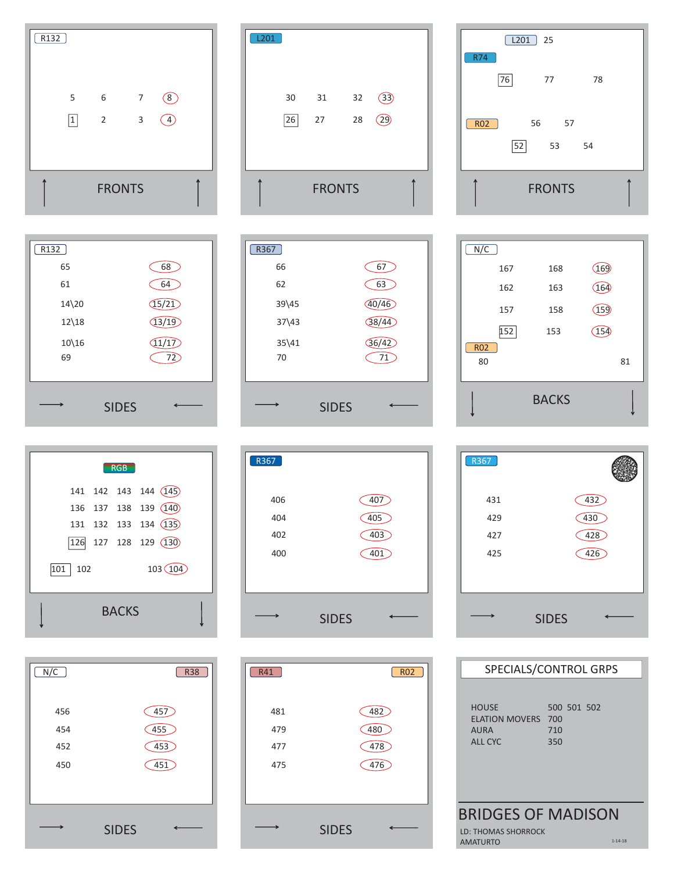| R <sub>132</sub> |                                |                |                |                       |  |
|------------------|--------------------------------|----------------|----------------|-----------------------|--|
|                  | 5                              | 6              | $\overline{7}$ | $\sqrt{8}$            |  |
|                  | $\boxed{1}$                    | $\overline{2}$ | 3              | $\boxed{4}$           |  |
|                  |                                |                |                |                       |  |
|                  |                                | <b>FRONTS</b>  |                |                       |  |
|                  |                                |                |                |                       |  |
|                  |                                |                |                |                       |  |
| R <sub>132</sub> |                                |                |                |                       |  |
|                  | 65<br>61                       |                |                | 68<br>64              |  |
|                  | $14\overline{\smash{\big)}20}$ |                |                |                       |  |
|                  | $12\backslash 18$              |                |                | (15/21)<br>(13/19)    |  |
|                  | $10\backslash 16$<br>69        |                |                | (11/17)<br>72<br>in 1 |  |

|  |     |     | <b>RGB</b>            |                                                |  |
|--|-----|-----|-----------------------|------------------------------------------------|--|
|  |     |     | 141 142 143 144 (145) | 136 137 138 139 (140)<br>131 132 133 134 (135) |  |
|  |     |     |                       | 126 127 128 129 (130)                          |  |
|  | 101 | 102 |                       | 103(104)                                       |  |
|  |     |     | <b>BACKS</b>          |                                                |  |

| N/C | <b>R38</b>   |
|-----|--------------|
| 456 | 457          |
| 454 | 455          |
| 452 | 453          |
| 450 | 451          |
|     |              |
|     |              |
|     | <b>SIDES</b> |





| R41 | <b>RO2</b>   |
|-----|--------------|
| 481 | 482          |
| 479 | 480          |
| 477 | 478          |
| 475 | 476          |
|     |              |
|     |              |
|     | <b>SIDES</b> |

|            | L201         | 25            |    |  |
|------------|--------------|---------------|----|--|
| <b>R74</b> |              |               |    |  |
|            | 76           | 77            | 78 |  |
| RO2        | 56           | 57            |    |  |
|            | $\boxed{52}$ | 53            | 54 |  |
|            |              | <b>FRONTS</b> |    |  |

| N/C              |     |              |                 |    |
|------------------|-----|--------------|-----------------|----|
|                  | 167 | 168          | (169)           |    |
|                  | 162 | 163          | (164)           |    |
|                  | 157 | 158          | (159)           |    |
|                  | 152 | 153          | 15 <sup>2</sup> |    |
| <b>RO2</b><br>80 |     |              |                 | 81 |
|                  |     | <b>BACKS</b> |                 |    |

| R367 |              |
|------|--------------|
| 431  | 432          |
| 429  | 430          |
| 427  | 428          |
| 425  | 426          |
|      |              |
|      | <b>SIDES</b> |

| SPECIALS/CONTROL GRPS                                    |                                  |  |  |  |
|----------------------------------------------------------|----------------------------------|--|--|--|
| <b>HOUSE</b><br>ELATION MOVERS<br>AURA<br><b>ALL CYC</b> | 500 501 502<br>700<br>710<br>350 |  |  |  |
| <b>BRIDGES OF MADISON</b>                                |                                  |  |  |  |
| <b>LD: THOMAS SHORROCK</b><br>AMATURTO                   | $1 - 14 - 18$                    |  |  |  |